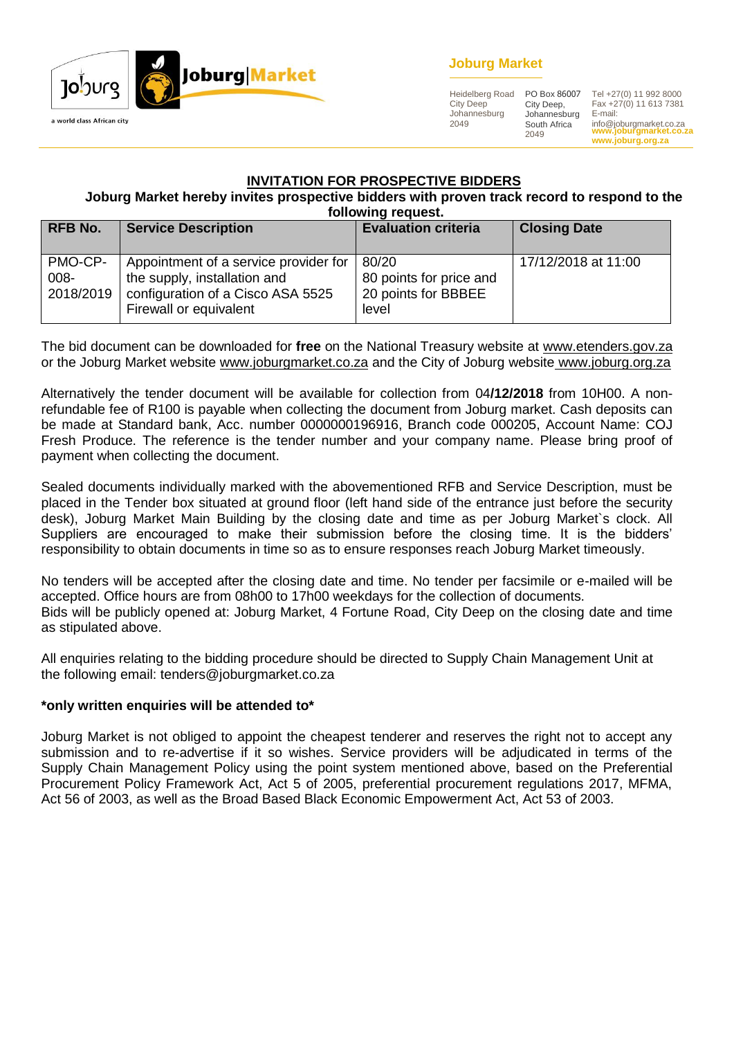

## **Joburg Market**

Heidelberg Road City Deep Johannesburg 2049

City Deep, Johannesburg South Africa 2049

**www.joburgmarket.co.za** info@joburgmarket.co.za PO Box 86007 Tel +27(0) 11 992 8000 Fax +27(0) 11 613 7381 E-mail:

**www.joburg.org.za**

### **INVITATION FOR PROSPECTIVE BIDDERS**

**Joburg Market hereby invites prospective bidders with proven track record to respond to the following request.**

|                              | TUITUWIITY TEYUESI.                                                                                                                  |                                                                  |                     |  |  |
|------------------------------|--------------------------------------------------------------------------------------------------------------------------------------|------------------------------------------------------------------|---------------------|--|--|
| <b>RFB No.</b>               | <b>Service Description</b>                                                                                                           | <b>Evaluation criteria</b>                                       | <b>Closing Date</b> |  |  |
| PMO-CP-<br>008-<br>2018/2019 | Appointment of a service provider for<br>the supply, installation and<br>configuration of a Cisco ASA 5525<br>Firewall or equivalent | 80/20<br>80 points for price and<br>20 points for BBBEE<br>level | 17/12/2018 at 11:00 |  |  |

The bid document can be downloaded for **free** on the National Treasury website at [www.etenders.gov.za](http://www.etenders.gov.za/) or the Joburg Market website [www.joburgmarket.co.za](http://www.joburgmarket.co.za/) and the City of Joburg website [www.joburg.org.za](http://www.joburg.org.za/)

Alternatively the tender document will be available for collection from 04**/12/2018** from 10H00. A nonrefundable fee of R100 is payable when collecting the document from Joburg market. Cash deposits can be made at Standard bank, Acc. number 0000000196916, Branch code 000205, Account Name: COJ Fresh Produce. The reference is the tender number and your company name. Please bring proof of payment when collecting the document.

Sealed documents individually marked with the abovementioned RFB and Service Description, must be placed in the Tender box situated at ground floor (left hand side of the entrance just before the security desk), Joburg Market Main Building by the closing date and time as per Joburg Market`s clock. All Suppliers are encouraged to make their submission before the closing time. It is the bidders' responsibility to obtain documents in time so as to ensure responses reach Joburg Market timeously.

No tenders will be accepted after the closing date and time. No tender per facsimile or e-mailed will be accepted. Office hours are from 08h00 to 17h00 weekdays for the collection of documents. Bids will be publicly opened at: Joburg Market, 4 Fortune Road, City Deep on the closing date and time as stipulated above.

All enquiries relating to the bidding procedure should be directed to Supply Chain Management Unit at the following email: tenders@joburgmarket.co.za

#### **\*only written enquiries will be attended to\***

Joburg Market is not obliged to appoint the cheapest tenderer and reserves the right not to accept any submission and to re-advertise if it so wishes. Service providers will be adjudicated in terms of the Supply Chain Management Policy using the point system mentioned above, based on the Preferential Procurement Policy Framework Act, Act 5 of 2005, preferential procurement regulations 2017, MFMA, Act 56 of 2003, as well as the Broad Based Black Economic Empowerment Act, Act 53 of 2003.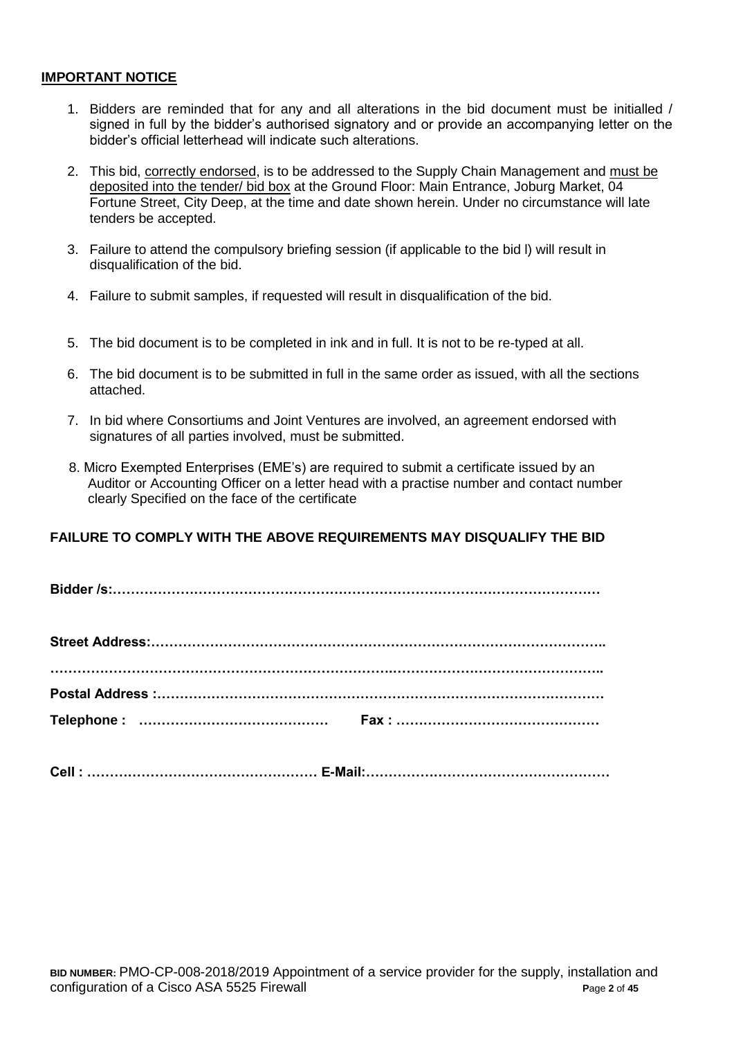#### **IMPORTANT NOTICE**

- 1. Bidders are reminded that for any and all alterations in the bid document must be initialled / signed in full by the bidder's authorised signatory and or provide an accompanying letter on the bidder's official letterhead will indicate such alterations.
- 2. This bid, correctly endorsed, is to be addressed to the Supply Chain Management and must be deposited into the tender/ bid box at the Ground Floor: Main Entrance, Joburg Market, 04 Fortune Street, City Deep, at the time and date shown herein. Under no circumstance will late tenders be accepted.
- 3. Failure to attend the compulsory briefing session (if applicable to the bid l) will result in disqualification of the bid.
- 4. Failure to submit samples, if requested will result in disqualification of the bid.
- 5. The bid document is to be completed in ink and in full. It is not to be re-typed at all.
- 6. The bid document is to be submitted in full in the same order as issued, with all the sections attached.
- 7. In bid where Consortiums and Joint Ventures are involved, an agreement endorsed with signatures of all parties involved, must be submitted.
- 8. Micro Exempted Enterprises (EME's) are required to submit a certificate issued by an Auditor or Accounting Officer on a letter head with a practise number and contact number clearly Specified on the face of the certificate

## **FAILURE TO COMPLY WITH THE ABOVE REQUIREMENTS MAY DISQUALIFY THE BID**

**Bidder /s:………………………………………………………………………………………………**

**Cell : …………………………………………… E-Mail:………………………………………………**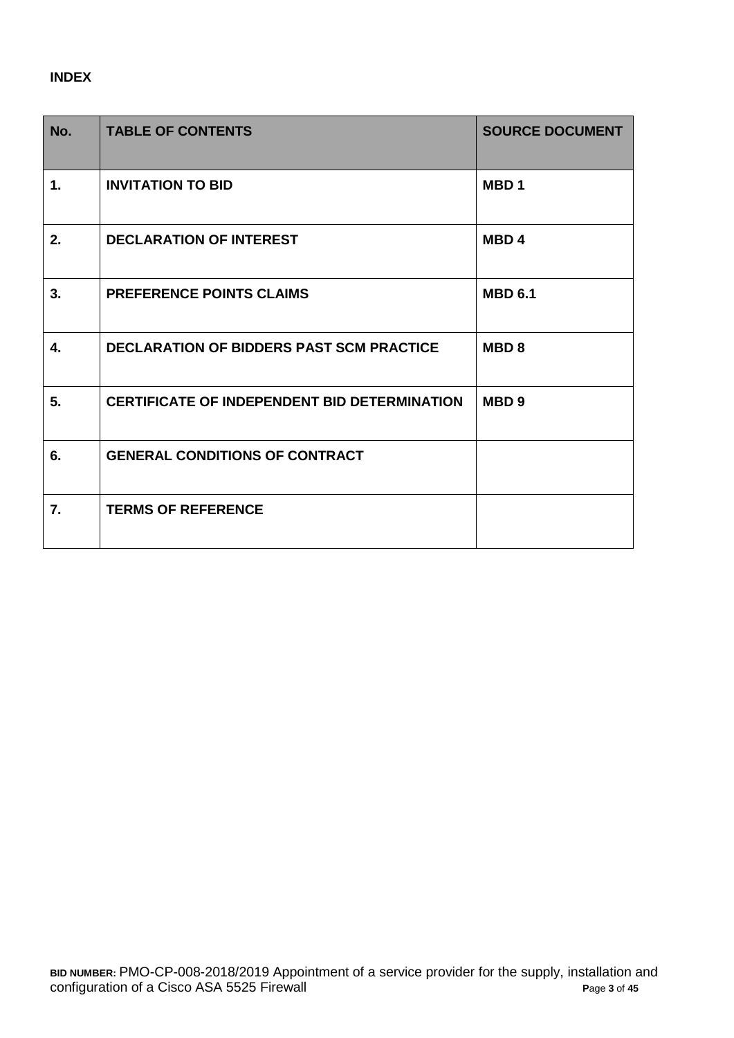## **INDEX**

| No. | <b>TABLE OF CONTENTS</b>                            | <b>SOURCE DOCUMENT</b> |
|-----|-----------------------------------------------------|------------------------|
| 1.  | <b>INVITATION TO BID</b>                            | MBD <sub>1</sub>       |
| 2.  | <b>DECLARATION OF INTEREST</b>                      | MBD <sub>4</sub>       |
| 3.  | <b>PREFERENCE POINTS CLAIMS</b>                     | <b>MBD 6.1</b>         |
| 4.  | <b>DECLARATION OF BIDDERS PAST SCM PRACTICE</b>     | MBD <sub>8</sub>       |
| 5.  | <b>CERTIFICATE OF INDEPENDENT BID DETERMINATION</b> | MBD <sub>9</sub>       |
| 6.  | <b>GENERAL CONDITIONS OF CONTRACT</b>               |                        |
| 7.  | <b>TERMS OF REFERENCE</b>                           |                        |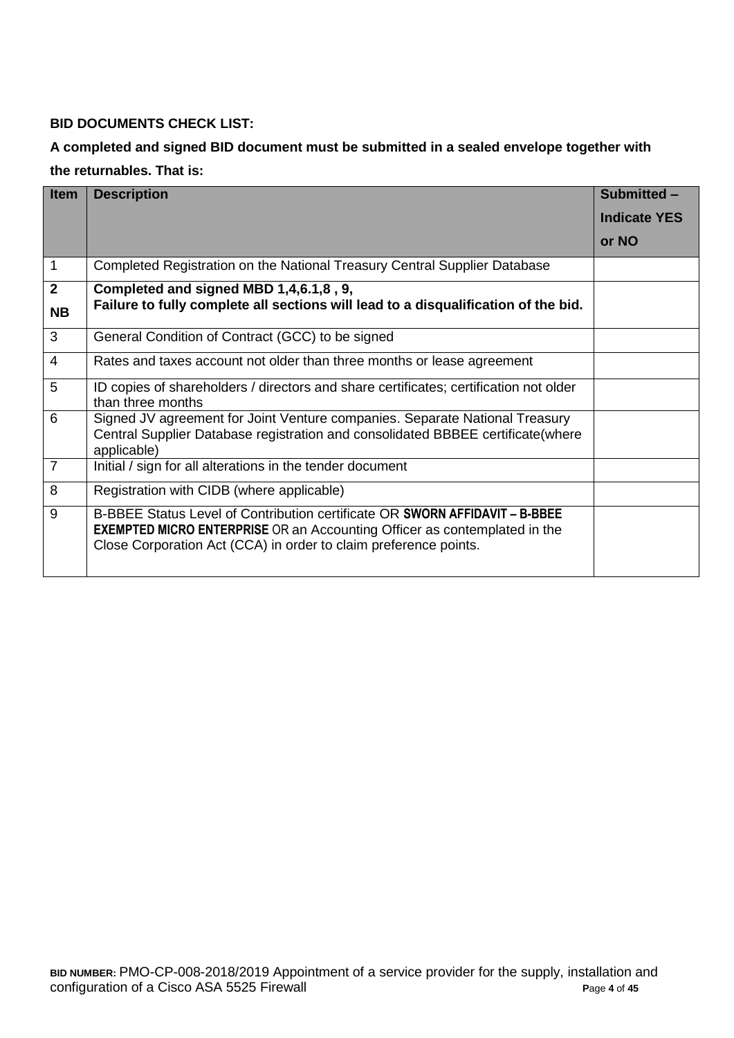## **BID DOCUMENTS CHECK LIST:**

# **A completed and signed BID document must be submitted in a sealed envelope together with the returnables. That is:**

| <b>Item</b>    | <b>Description</b>                                                                                                                                                                                                                  | Submitted -         |
|----------------|-------------------------------------------------------------------------------------------------------------------------------------------------------------------------------------------------------------------------------------|---------------------|
|                |                                                                                                                                                                                                                                     | <b>Indicate YES</b> |
|                |                                                                                                                                                                                                                                     | or NO               |
| $\mathbf 1$    | Completed Registration on the National Treasury Central Supplier Database                                                                                                                                                           |                     |
| $\mathbf{2}$   | Completed and signed MBD 1,4,6.1,8, 9,                                                                                                                                                                                              |                     |
| <b>NB</b>      | Failure to fully complete all sections will lead to a disqualification of the bid.                                                                                                                                                  |                     |
| 3              | General Condition of Contract (GCC) to be signed                                                                                                                                                                                    |                     |
| $\overline{4}$ | Rates and taxes account not older than three months or lease agreement                                                                                                                                                              |                     |
| 5              | ID copies of shareholders / directors and share certificates; certification not older<br>than three months                                                                                                                          |                     |
| 6              | Signed JV agreement for Joint Venture companies. Separate National Treasury<br>Central Supplier Database registration and consolidated BBBEE certificate(where<br>applicable)                                                       |                     |
| $\overline{7}$ | Initial / sign for all alterations in the tender document                                                                                                                                                                           |                     |
| 8              | Registration with CIDB (where applicable)                                                                                                                                                                                           |                     |
| 9              | B-BBEE Status Level of Contribution certificate OR SWORN AFFIDAVIT - B-BBEE<br><b>EXEMPTED MICRO ENTERPRISE</b> OR an Accounting Officer as contemplated in the<br>Close Corporation Act (CCA) in order to claim preference points. |                     |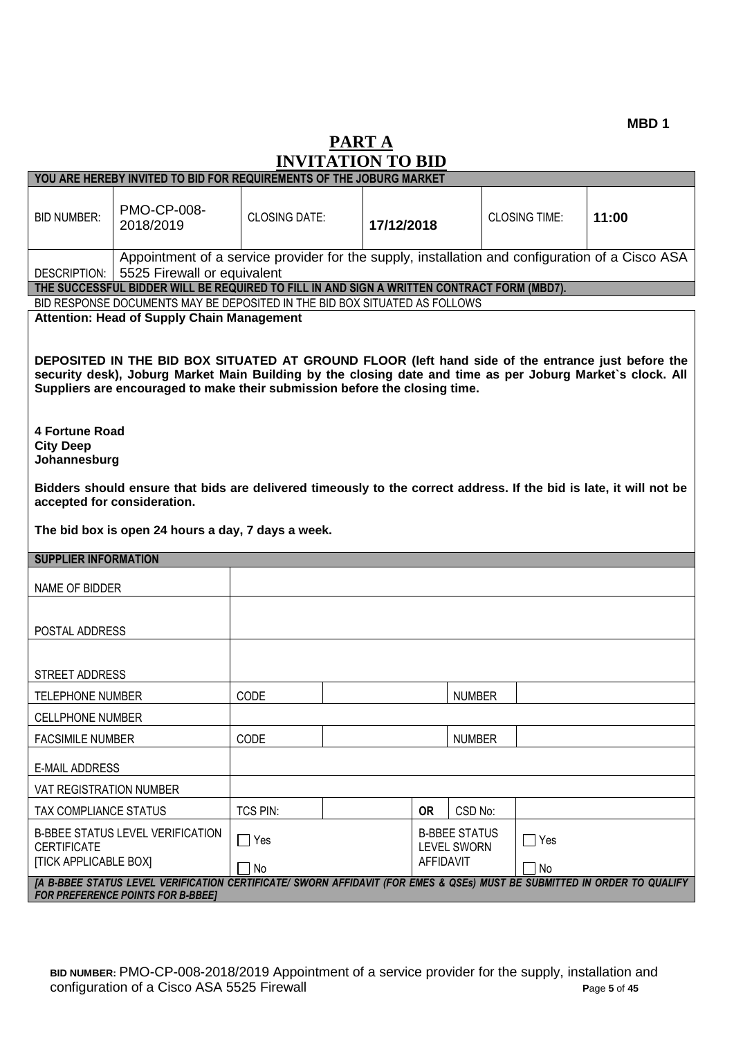**MBD 1**

# **PART A INVITATION TO BID**

|                                                           | YOU ARE HEREBY INVITED TO BID FOR REQUIREMENTS OF THE JOBURG MARKET                                                                                                                                                                                                                                                                                |                      |  |            |                                                                |                      |       |
|-----------------------------------------------------------|----------------------------------------------------------------------------------------------------------------------------------------------------------------------------------------------------------------------------------------------------------------------------------------------------------------------------------------------------|----------------------|--|------------|----------------------------------------------------------------|----------------------|-------|
| <b>BID NUMBER:</b>                                        | <b>PMO-CP-008-</b><br>2018/2019                                                                                                                                                                                                                                                                                                                    | <b>CLOSING DATE:</b> |  | 17/12/2018 |                                                                | <b>CLOSING TIME:</b> | 11:00 |
| DESCRIPTION:                                              | Appointment of a service provider for the supply, installation and configuration of a Cisco ASA<br>5525 Firewall or equivalent                                                                                                                                                                                                                     |                      |  |            |                                                                |                      |       |
|                                                           | THE SUCCESSFUL BIDDER WILL BE REQUIRED TO FILL IN AND SIGN A WRITTEN CONTRACT FORM (MBD7).                                                                                                                                                                                                                                                         |                      |  |            |                                                                |                      |       |
|                                                           | BID RESPONSE DOCUMENTS MAY BE DEPOSITED IN THE BID BOX SITUATED AS FOLLOWS                                                                                                                                                                                                                                                                         |                      |  |            |                                                                |                      |       |
|                                                           | <b>Attention: Head of Supply Chain Management</b><br>DEPOSITED IN THE BID BOX SITUATED AT GROUND FLOOR (left hand side of the entrance just before the<br>security desk), Joburg Market Main Building by the closing date and time as per Joburg Market's clock. All<br>Suppliers are encouraged to make their submission before the closing time. |                      |  |            |                                                                |                      |       |
| <b>4 Fortune Road</b><br><b>City Deep</b><br>Johannesburg |                                                                                                                                                                                                                                                                                                                                                    |                      |  |            |                                                                |                      |       |
|                                                           | Bidders should ensure that bids are delivered timeously to the correct address. If the bid is late, it will not be<br>accepted for consideration.                                                                                                                                                                                                  |                      |  |            |                                                                |                      |       |
|                                                           | The bid box is open 24 hours a day, 7 days a week.                                                                                                                                                                                                                                                                                                 |                      |  |            |                                                                |                      |       |
| <b>SUPPLIER INFORMATION</b>                               |                                                                                                                                                                                                                                                                                                                                                    |                      |  |            |                                                                |                      |       |
| NAME OF BIDDER                                            |                                                                                                                                                                                                                                                                                                                                                    |                      |  |            |                                                                |                      |       |
| POSTAL ADDRESS                                            |                                                                                                                                                                                                                                                                                                                                                    |                      |  |            |                                                                |                      |       |
| STREET ADDRESS                                            |                                                                                                                                                                                                                                                                                                                                                    |                      |  |            |                                                                |                      |       |
| <b>TELEPHONE NUMBER</b>                                   |                                                                                                                                                                                                                                                                                                                                                    | CODE                 |  |            | <b>NUMBER</b>                                                  |                      |       |
|                                                           |                                                                                                                                                                                                                                                                                                                                                    |                      |  |            |                                                                |                      |       |
| <b>CELLPHONE NUMBER</b><br><b>FACSIMILE NUMBER</b>        |                                                                                                                                                                                                                                                                                                                                                    | CODE                 |  |            | <b>NUMBER</b>                                                  |                      |       |
| <b>E-MAIL ADDRESS</b>                                     |                                                                                                                                                                                                                                                                                                                                                    |                      |  |            |                                                                |                      |       |
| VAT REGISTRATION NUMBER                                   |                                                                                                                                                                                                                                                                                                                                                    |                      |  |            |                                                                |                      |       |
| TAX COMPLIANCE STATUS                                     |                                                                                                                                                                                                                                                                                                                                                    | TCS PIN:             |  | <b>OR</b>  | CSD No:                                                        |                      |       |
| <b>CERTIFICATE</b><br><b>[TICK APPLICABLE BOX]</b>        | <b>B-BBEE STATUS LEVEL VERIFICATION</b>                                                                                                                                                                                                                                                                                                            | $\Box$ Yes           |  |            | <b>B-BBEE STATUS</b><br><b>LEVEL SWORN</b><br><b>AFFIDAVIT</b> | $\Box$ Yes           |       |
|                                                           | [A B-BBEE STATUS LEVEL VERIFICATION CERTIFICATE/ SWORN AFFIDAVIT (FOR EMES & QSEs) MUST BE SUBMITTED IN ORDER TO QUALIFY                                                                                                                                                                                                                           | $\Box$ No            |  |            |                                                                | No                   |       |
|                                                           | <b>FOR PREFERENCE POINTS FOR B-BBEE]</b>                                                                                                                                                                                                                                                                                                           |                      |  |            |                                                                |                      |       |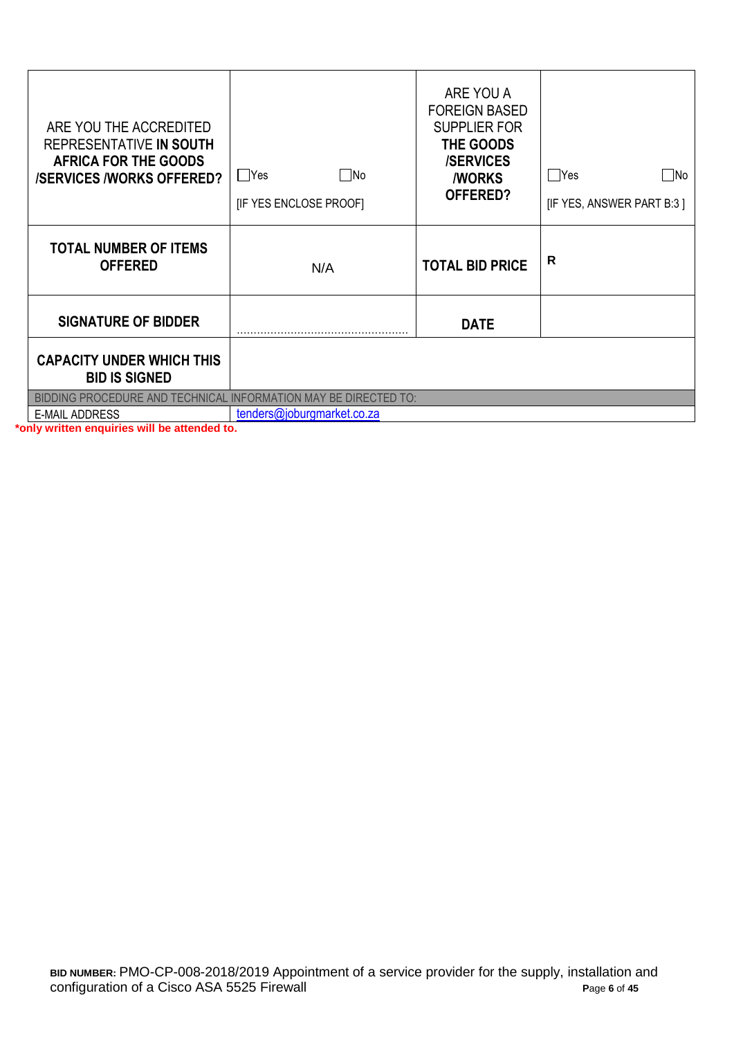| ARE YOU THE ACCREDITED<br>REPRESENTATIVE IN SOUTH<br>AFRICA FOR THE GOODS<br><b>/SERVICES /WORKS OFFERED?</b> | □No<br>  Yes<br>[IF YES ENCLOSE PROOF] | ARE YOU A<br><b>FOREIGN BASED</b><br><b>SUPPLIER FOR</b><br>THE GOODS<br><b>/SERVICES</b><br><b><i>NORKS</i></b><br>OFFERED? | $\Box$ Yes<br>No.<br>[IF YES, ANSWER PART B:3] |
|---------------------------------------------------------------------------------------------------------------|----------------------------------------|------------------------------------------------------------------------------------------------------------------------------|------------------------------------------------|
| <b>TOTAL NUMBER OF ITEMS</b><br><b>OFFERED</b>                                                                | N/A                                    | <b>TOTAL BID PRICE</b>                                                                                                       | R                                              |
| <b>SIGNATURE OF BIDDER</b>                                                                                    |                                        | <b>DATE</b>                                                                                                                  |                                                |
| <b>CAPACITY UNDER WHICH THIS</b><br><b>BID IS SIGNED</b>                                                      |                                        |                                                                                                                              |                                                |
| BIDDING PROCEDURE AND TECHNICAL INFORMATION MAY BE DIRECTED TO:                                               |                                        |                                                                                                                              |                                                |
| <b>E-MAIL ADDRESS</b><br>والمتناقل والمستنقل والمتوازن والمناقص والمتناور والمنافرة                           | tenders@joburgmarket.co.za             |                                                                                                                              |                                                |

**\*only written enquiries will be attended to.**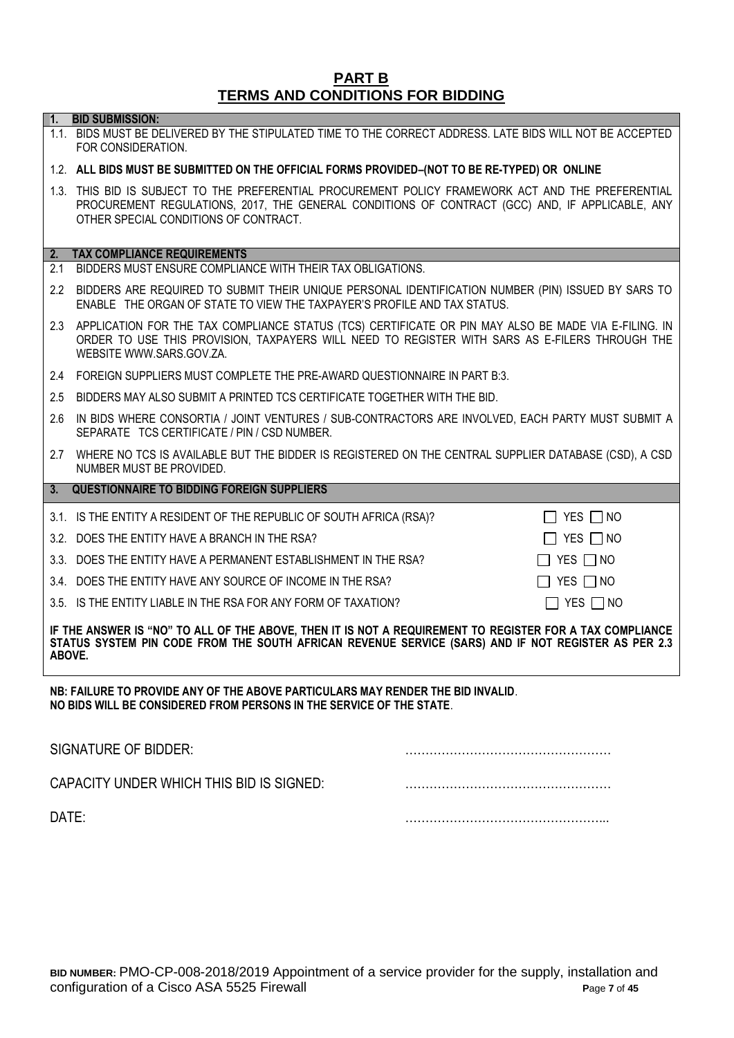#### **PART B TERMS AND CONDITIONS FOR BIDDING**

1.1. BIDS MUST BE DELIVERED BY THE STIPULATED TIME TO THE CORRECT ADDRESS. LATE BIDS WILL NOT BE ACCEPTED

**1. BID SUBMISSION:**

# FOR CONSIDERATION. 1.2. **ALL BIDS MUST BE SUBMITTED ON THE OFFICIAL FORMS PROVIDED–(NOT TO BE RE-TYPED) OR ONLINE** 1.3. THIS BID IS SUBJECT TO THE PREFERENTIAL PROCUREMENT POLICY FRAMEWORK ACT AND THE PREFERENTIAL PROCUREMENT REGULATIONS, 2017, THE GENERAL CONDITIONS OF CONTRACT (GCC) AND, IF APPLICABLE, ANY OTHER SPECIAL CONDITIONS OF CONTRACT. **2. TAX COMPLIANCE REQUIREMENTS** 2.1 BIDDERS MUST ENSURE COMPLIANCE WITH THEIR TAX OBLIGATIONS. 2.2 BIDDERS ARE REQUIRED TO SUBMIT THEIR UNIQUE PERSONAL IDENTIFICATION NUMBER (PIN) ISSUED BY SARS TO ENABLE THE ORGAN OF STATE TO VIEW THE TAXPAYER'S PROFILE AND TAX STATUS. 2.3 APPLICATION FOR THE TAX COMPLIANCE STATUS (TCS) CERTIFICATE OR PIN MAY ALSO BE MADE VIA E-FILING. IN ORDER TO USE THIS PROVISION, TAXPAYERS WILL NEED TO REGISTER WITH SARS AS E-FILERS THROUGH THE WEBSITE [WWW.SARS.GOV.ZA.](http://www.sars.gov.za/) 2.4 FOREIGN SUPPLIERS MUST COMPLETE THE PRE-AWARD QUESTIONNAIRE IN PART B:3. 2.5 BIDDERS MAY ALSO SUBMIT A PRINTED TCS CERTIFICATE TOGETHER WITH THE BID. 2.6 IN BIDS WHERE CONSORTIA / JOINT VENTURES / SUB-CONTRACTORS ARE INVOLVED, EACH PARTY MUST SUBMIT A SEPARATE TCS CERTIFICATE / PIN / CSD NUMBER. 2.7 WHERE NO TCS IS AVAILABLE BUT THE BIDDER IS REGISTERED ON THE CENTRAL SUPPLIER DATABASE (CSD), A CSD NUMBER MUST BE PROVIDED. **3. QUESTIONNAIRE TO BIDDING FOREIGN SUPPLIERS** 3.1. IS THE ENTITY A RESIDENT OF THE REPUBLIC OF SOUTH AFRICA (RSA)?  $\Box$  YES  $\Box$  NO 3.2. DOES THE ENTITY HAVE A BRANCH IN THE RSA? YES NO 3.3. DOES THE ENTITY HAVE A PERMANENT ESTABLISHMENT IN THE RSA?  $\Box$  YES  $\Box$  NO 3.4. DOES THE ENTITY HAVE ANY SOURCE OF INCOME IN THE RSA?  $\Box$  YES  $\Box$  NO 3.5. IS THE ENTITY LIABLE IN THE RSA FOR ANY FORM OF TAXATION?  $\Box$  YES  $\Box$  NO

**IF THE ANSWER IS "NO" TO ALL OF THE ABOVE, THEN IT IS NOT A REQUIREMENT TO REGISTER FOR A TAX COMPLIANCE STATUS SYSTEM PIN CODE FROM THE SOUTH AFRICAN REVENUE SERVICE (SARS) AND IF NOT REGISTER AS PER 2.3 ABOVE.**

**NB: FAILURE TO PROVIDE ANY OF THE ABOVE PARTICULARS MAY RENDER THE BID INVALID**. **NO BIDS WILL BE CONSIDERED FROM PERSONS IN THE SERVICE OF THE STATE**.

| SIGNATURE OF BIDDER:                     |  |
|------------------------------------------|--|
| CAPACITY UNDER WHICH THIS BID IS SIGNED: |  |
| DATE:                                    |  |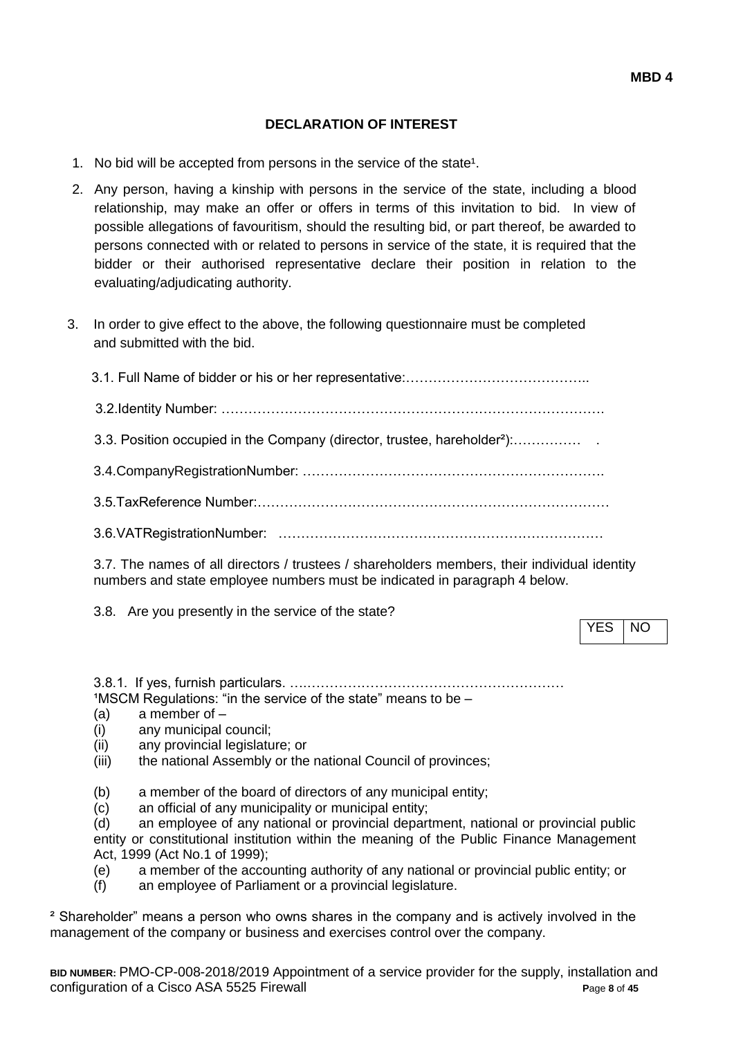## **DECLARATION OF INTEREST**

- 1. No bid will be accepted from persons in the service of the state<sup>1</sup>.
- 2. Any person, having a kinship with persons in the service of the state, including a blood relationship, may make an offer or offers in terms of this invitation to bid. In view of possible allegations of favouritism, should the resulting bid, or part thereof, be awarded to persons connected with or related to persons in service of the state, it is required that the bidder or their authorised representative declare their position in relation to the evaluating/adjudicating authority.
- 3. In order to give effect to the above, the following questionnaire must be completed and submitted with the bid.

| 3.3. Position occupied in the Company (director, trustee, hareholder <sup>2</sup> ): |
|--------------------------------------------------------------------------------------|
|                                                                                      |
|                                                                                      |
|                                                                                      |

3.7. The names of all directors / trustees / shareholders members, their individual identity numbers and state employee numbers must be indicated in paragraph 4 below.

3.8. Are you presently in the service of the state?

YES NO

3.8.1. If yes, furnish particulars. ….…………………………………………………  $1$ MSCM Regulations: "in the service of the state" means to be  $-$ 

- (a) a member of –
- (i) any municipal council;
- (ii) any provincial legislature; or
- (iii) the national Assembly or the national Council of provinces;
- (b) a member of the board of directors of any municipal entity;
- (c) an official of any municipality or municipal entity;

(d) an employee of any national or provincial department, national or provincial public entity or constitutional institution within the meaning of the Public Finance Management Act, 1999 (Act No.1 of 1999);

(e) a member of the accounting authority of any national or provincial public entity; or

(f) an employee of Parliament or a provincial legislature.

² Shareholder" means a person who owns shares in the company and is actively involved in the management of the company or business and exercises control over the company.

**BID NUMBER:** PMO-CP-008-2018/2019 Appointment of a service provider for the supply, installation and configuration of a Cisco ASA 5525 Firewall **P**age **8** of **45**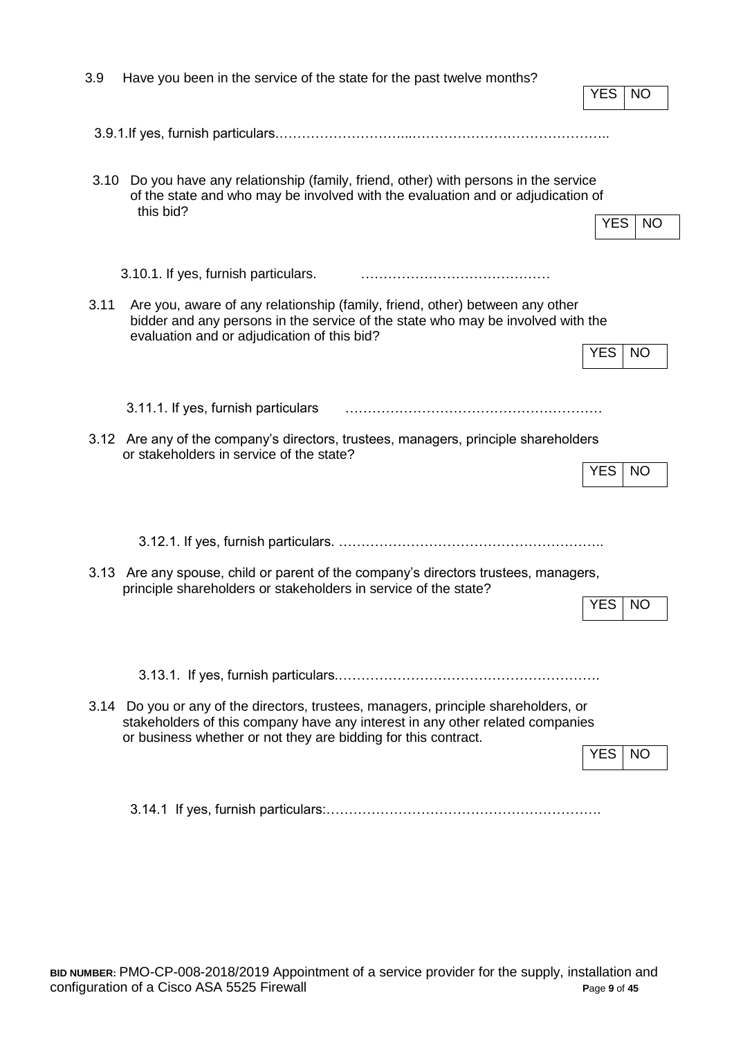| 3.9  | Have you been in the service of the state for the past twelve months?                                                                                                                                                                  | <b>YES</b> | NO        |
|------|----------------------------------------------------------------------------------------------------------------------------------------------------------------------------------------------------------------------------------------|------------|-----------|
|      |                                                                                                                                                                                                                                        |            |           |
| 3.10 | Do you have any relationship (family, friend, other) with persons in the service<br>of the state and who may be involved with the evaluation and or adjudication of<br>this bid?                                                       | YES.       | NO.       |
|      | 3.10.1. If yes, furnish particulars.                                                                                                                                                                                                   |            |           |
| 3.11 | Are you, aware of any relationship (family, friend, other) between any other<br>bidder and any persons in the service of the state who may be involved with the<br>evaluation and or adjudication of this bid?                         |            |           |
|      |                                                                                                                                                                                                                                        | <b>YES</b> | <b>NO</b> |
|      | 3.11.1. If yes, furnish particulars                                                                                                                                                                                                    |            |           |
|      | 3.12 Are any of the company's directors, trustees, managers, principle shareholders<br>or stakeholders in service of the state?                                                                                                        | <b>YES</b> | <b>NO</b> |
|      |                                                                                                                                                                                                                                        |            |           |
|      | 3.13 Are any spouse, child or parent of the company's directors trustees, managers,<br>principle shareholders or stakeholders in service of the state?                                                                                 | <b>YES</b> | <b>NO</b> |
|      |                                                                                                                                                                                                                                        |            |           |
|      | 3.14 Do you or any of the directors, trustees, managers, principle shareholders, or<br>stakeholders of this company have any interest in any other related companies<br>or business whether or not they are bidding for this contract. | YES.       | NO.       |
|      |                                                                                                                                                                                                                                        |            |           |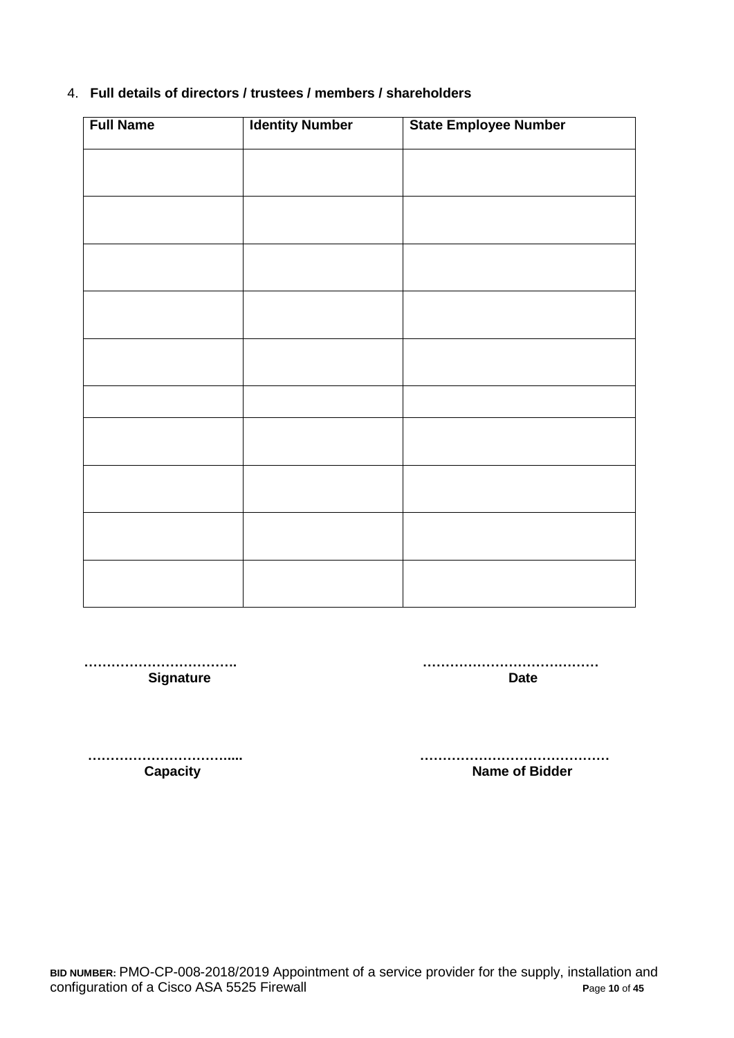## 4. **Full details of directors / trustees / members / shareholders**

| <b>Full Name</b> | <b>Identity Number</b> | State Employee Number |
|------------------|------------------------|-----------------------|
|                  |                        |                       |
|                  |                        |                       |
|                  |                        |                       |
|                  |                        |                       |
|                  |                        |                       |
|                  |                        |                       |
|                  |                        |                       |
|                  |                        |                       |
|                  |                        |                       |
|                  |                        |                       |

 **……………………………. ………………………………… Signature Date** 

 **…………………………..... …………………………………… Capacity Capacity Capacity Capacity Name of Bidder**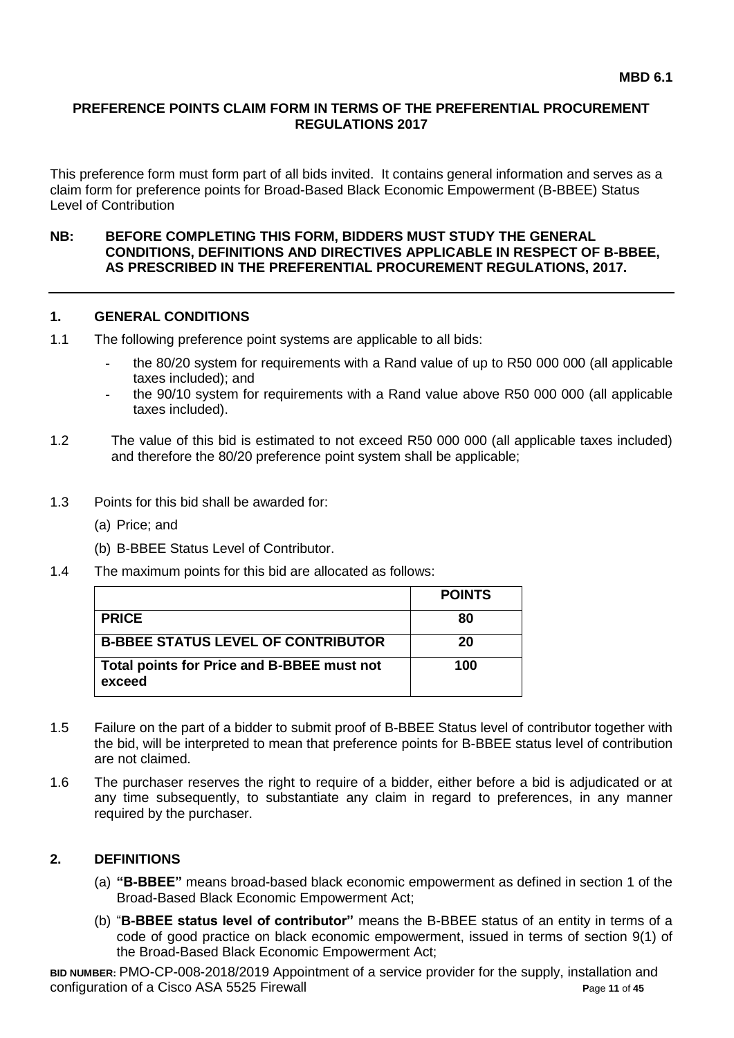#### **PREFERENCE POINTS CLAIM FORM IN TERMS OF THE PREFERENTIAL PROCUREMENT REGULATIONS 2017**

This preference form must form part of all bids invited. It contains general information and serves as a claim form for preference points for Broad-Based Black Economic Empowerment (B-BBEE) Status Level of Contribution

#### **NB: BEFORE COMPLETING THIS FORM, BIDDERS MUST STUDY THE GENERAL CONDITIONS, DEFINITIONS AND DIRECTIVES APPLICABLE IN RESPECT OF B-BBEE, AS PRESCRIBED IN THE PREFERENTIAL PROCUREMENT REGULATIONS, 2017.**

#### **1. GENERAL CONDITIONS**

- 1.1 The following preference point systems are applicable to all bids:
	- the 80/20 system for requirements with a Rand value of up to R50 000 000 (all applicable taxes included); and
	- the 90/10 system for requirements with a Rand value above R50 000 000 (all applicable taxes included).
- 1.2 The value of this bid is estimated to not exceed R50 000 000 (all applicable taxes included) and therefore the 80/20 preference point system shall be applicable;
- 1.3 Points for this bid shall be awarded for:
	- (a) Price; and
	- (b) B-BBEE Status Level of Contributor.
- 1.4 The maximum points for this bid are allocated as follows:

|                                                      | <b>POINTS</b> |
|------------------------------------------------------|---------------|
| <b>PRICE</b>                                         | 80            |
| <b>B-BBEE STATUS LEVEL OF CONTRIBUTOR</b>            | 20            |
| Total points for Price and B-BBEE must not<br>exceed | 100           |

- 1.5 Failure on the part of a bidder to submit proof of B-BBEE Status level of contributor together with the bid, will be interpreted to mean that preference points for B-BBEE status level of contribution are not claimed.
- 1.6 The purchaser reserves the right to require of a bidder, either before a bid is adjudicated or at any time subsequently, to substantiate any claim in regard to preferences, in any manner required by the purchaser.

#### **2. DEFINITIONS**

- (a) **"B-BBEE"** means broad-based black economic empowerment as defined in section 1 of the Broad-Based Black Economic Empowerment Act;
- (b) "**B-BBEE status level of contributor"** means the B-BBEE status of an entity in terms of a code of good practice on black economic empowerment, issued in terms of section 9(1) of the Broad-Based Black Economic Empowerment Act;

**BID NUMBER:** PMO-CP-008-2018/2019 Appointment of a service provider for the supply, installation and configuration of a Cisco ASA 5525 Firewall **P**age **11** of **45**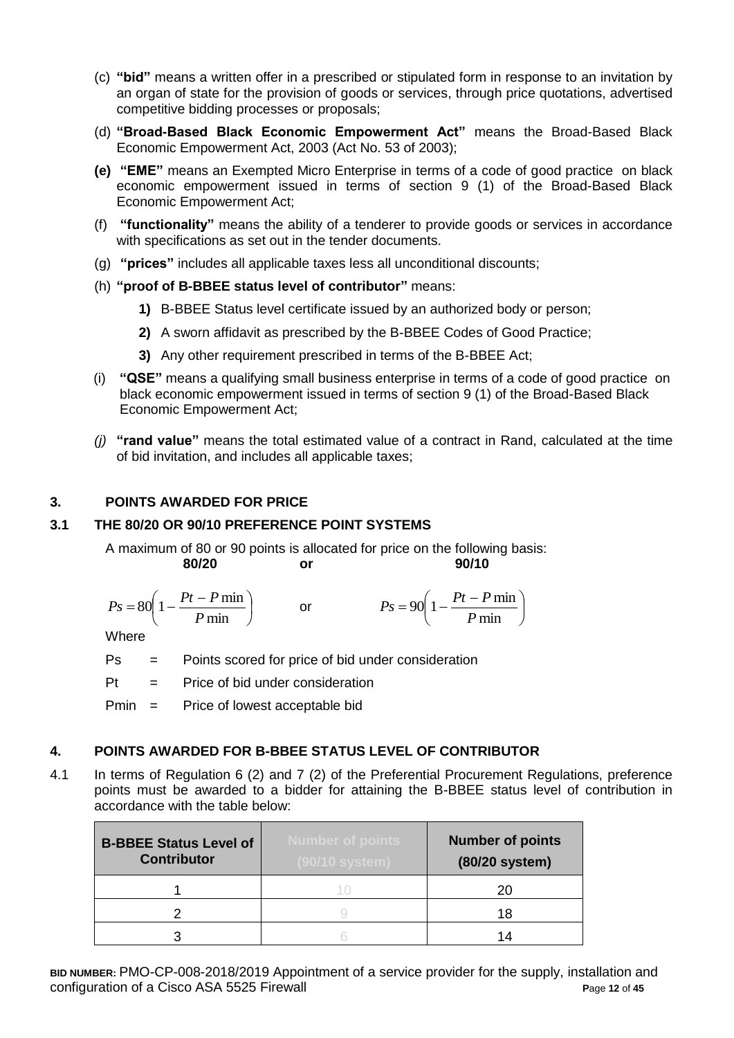- (c) **"bid"** means a written offer in a prescribed or stipulated form in response to an invitation by an organ of state for the provision of goods or services, through price quotations, advertised competitive bidding processes or proposals;
- (d) **"Broad-Based Black Economic Empowerment Act"** means the Broad-Based Black Economic Empowerment Act, 2003 (Act No. 53 of 2003);
- **(e) "EME"** means an Exempted Micro Enterprise in terms of a code of good practice on black economic empowerment issued in terms of section 9 (1) of the Broad-Based Black Economic Empowerment Act;
- (f) **"functionality"** means the ability of a tenderer to provide goods or services in accordance with specifications as set out in the tender documents.
- (g) **"prices"** includes all applicable taxes less all unconditional discounts;
- (h) **"proof of B-BBEE status level of contributor"** means:
	- **1)** B-BBEE Status level certificate issued by an authorized body or person;
	- **2)** A sworn affidavit as prescribed by the B-BBEE Codes of Good Practice;
	- **3)** Any other requirement prescribed in terms of the B-BBEE Act;
- (i) **"QSE"** means a qualifying small business enterprise in terms of a code of good practice on black economic empowerment issued in terms of section 9 (1) of the Broad-Based Black Economic Empowerment Act;
- *(j)* **"rand value"** means the total estimated value of a contract in Rand, calculated at the time of bid invitation, and includes all applicable taxes;

## **3. POINTS AWARDED FOR PRICE**

## **3.1 THE 80/20 OR 90/10 PREFERENCE POINT SYSTEMS**

A maximum of 80 or 90 points is allocated for price on the following basis: **80/20 or 90/10**

$$
Ps = 80\left(1 - \frac{Pt - P \min}{P \min}\right) \qquad \text{or} \qquad \qquad Ps = 90\left(1 - \frac{Pt - P \min}{P \min}\right)
$$

**Where** 

Ps = Points scored for price of bid under consideration

 $Pt =$  Price of bid under consideration

Pmin = Price of lowest acceptable bid

#### **4. POINTS AWARDED FOR B-BBEE STATUS LEVEL OF CONTRIBUTOR**

4.1 In terms of Regulation 6 (2) and 7 (2) of the Preferential Procurement Regulations, preference points must be awarded to a bidder for attaining the B-BBEE status level of contribution in accordance with the table below:

| <b>B-BBEE Status Level of</b><br><b>Contributor</b> | <b>Number of points</b><br>(90/10 system) | <b>Number of points</b><br>(80/20 system) |
|-----------------------------------------------------|-------------------------------------------|-------------------------------------------|
|                                                     |                                           | 20                                        |
|                                                     |                                           | 18                                        |
|                                                     |                                           | 14                                        |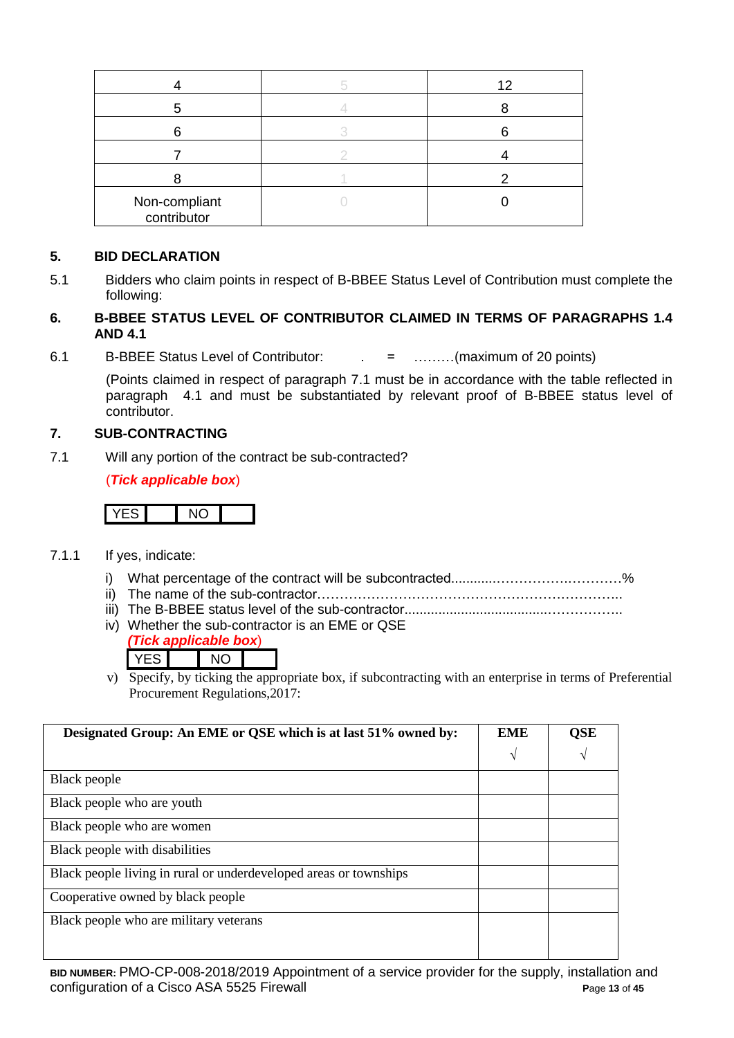|                              | 12 |
|------------------------------|----|
|                              |    |
|                              |    |
|                              |    |
|                              |    |
| Non-compliant<br>contributor |    |

## **5. BID DECLARATION**

5.1 Bidders who claim points in respect of B-BBEE Status Level of Contribution must complete the following:

### **6. B-BBEE STATUS LEVEL OF CONTRIBUTOR CLAIMED IN TERMS OF PARAGRAPHS 1.4 AND 4.1**

6.1 B-BBEE Status Level of Contributor: . = ………(maximum of 20 points)

(Points claimed in respect of paragraph 7.1 must be in accordance with the table reflected in paragraph 4.1 and must be substantiated by relevant proof of B-BBEE status level of contributor.

### **7. SUB-CONTRACTING**

7.1 Will any portion of the contract be sub-contracted?

(*Tick applicable box*)

# YES NO

- 7.1.1 If yes, indicate:
	- i) What percentage of the contract will be subcontracted............…………….…………%
	- ii) The name of the sub-contractor…………………………………………………………..
	- iii) The B-BBEE status level of the sub-contractor......................................……………..
	- iv) Whether the sub-contractor is an EME or QSE

|  | ick applicable box) |  |
|--|---------------------|--|
|  |                     |  |

v) Specify, by ticking the appropriate box, if subcontracting with an enterprise in terms of Preferential Procurement Regulations,2017:

| Designated Group: An EME or QSE which is at last 51% owned by:    | <b>EME</b> | QSE |
|-------------------------------------------------------------------|------------|-----|
|                                                                   | V          | V   |
| Black people                                                      |            |     |
| Black people who are youth                                        |            |     |
| Black people who are women                                        |            |     |
| Black people with disabilities                                    |            |     |
| Black people living in rural or underdeveloped areas or townships |            |     |
| Cooperative owned by black people                                 |            |     |
| Black people who are military veterans                            |            |     |
|                                                                   |            |     |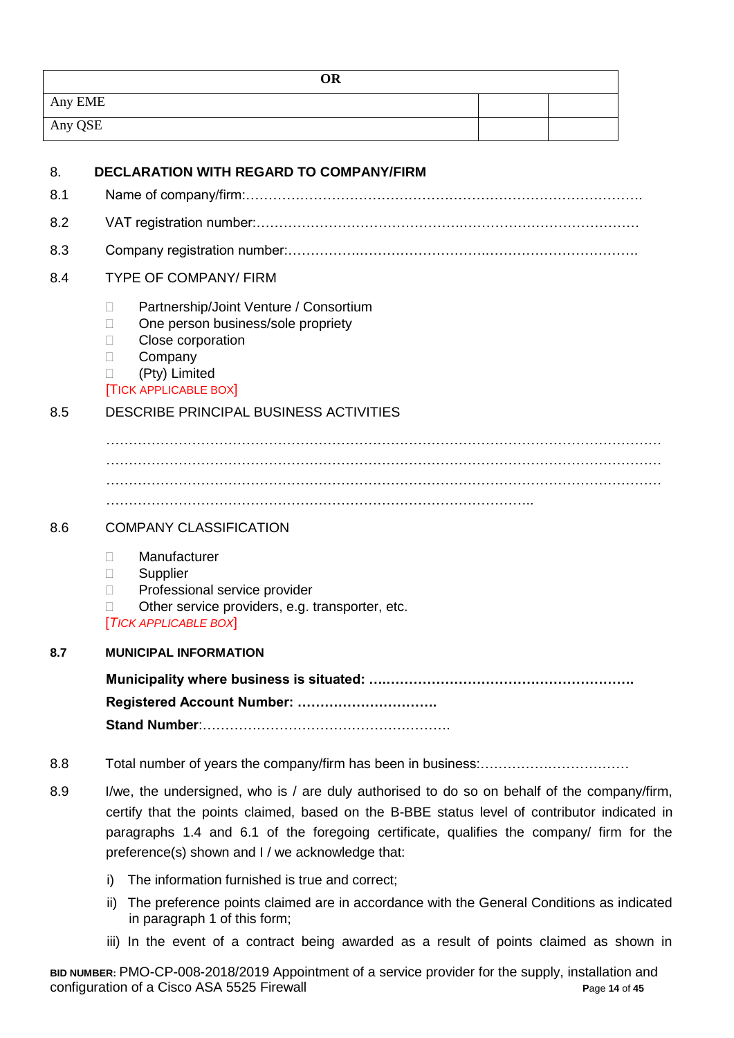| OR      |  |
|---------|--|
| Any EME |  |
| Any QSE |  |

| 8.  | <b>DECLARATION WITH REGARD TO COMPANY/FIRM</b>                                                                                                                                                                                                                                                                                              |
|-----|---------------------------------------------------------------------------------------------------------------------------------------------------------------------------------------------------------------------------------------------------------------------------------------------------------------------------------------------|
| 8.1 |                                                                                                                                                                                                                                                                                                                                             |
| 8.2 |                                                                                                                                                                                                                                                                                                                                             |
| 8.3 |                                                                                                                                                                                                                                                                                                                                             |
| 8.4 | <b>TYPE OF COMPANY/ FIRM</b>                                                                                                                                                                                                                                                                                                                |
|     | Partnership/Joint Venture / Consortium<br>П<br>One person business/sole propriety<br>Н<br>Close corporation<br>П<br>Company<br>$\Box$<br>(Pty) Limited<br>П<br><b>TICK APPLICABLE BOX</b>                                                                                                                                                   |
| 8.5 | DESCRIBE PRINCIPAL BUSINESS ACTIVITIES                                                                                                                                                                                                                                                                                                      |
|     |                                                                                                                                                                                                                                                                                                                                             |
| 8.6 | <b>COMPANY CLASSIFICATION</b>                                                                                                                                                                                                                                                                                                               |
|     | Manufacturer<br>П<br>Supplier<br>П<br>Professional service provider<br>П<br>Other service providers, e.g. transporter, etc.<br>П<br><b>TICK APPLICABLE BOX</b>                                                                                                                                                                              |
| 8.7 | <b>MUNICIPAL INFORMATION</b>                                                                                                                                                                                                                                                                                                                |
|     | Registered Account Number:                                                                                                                                                                                                                                                                                                                  |
| 8.8 |                                                                                                                                                                                                                                                                                                                                             |
| 8.9 | I/we, the undersigned, who is / are duly authorised to do so on behalf of the company/firm,<br>certify that the points claimed, based on the B-BBE status level of contributor indicated in<br>paragraphs 1.4 and 6.1 of the foregoing certificate, qualifies the company/ firm for the<br>preference(s) shown and I / we acknowledge that: |

- i) The information furnished is true and correct;
- ii) The preference points claimed are in accordance with the General Conditions as indicated in paragraph 1 of this form;
- iii) In the event of a contract being awarded as a result of points claimed as shown in

**BID NUMBER:** PMO-CP-008-2018/2019 Appointment of a service provider for the supply, installation and configuration of a Cisco ASA 5525 Firewall **P**age **14** of **45**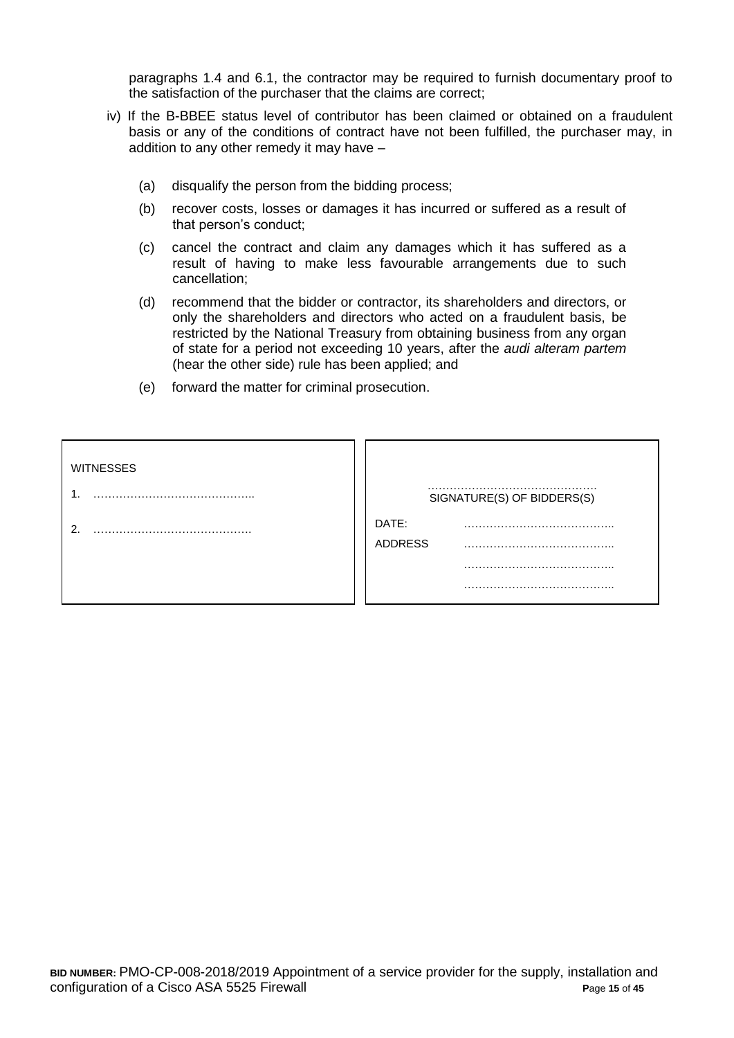paragraphs 1.4 and 6.1, the contractor may be required to furnish documentary proof to the satisfaction of the purchaser that the claims are correct;

- iv) If the B-BBEE status level of contributor has been claimed or obtained on a fraudulent basis or any of the conditions of contract have not been fulfilled, the purchaser may, in addition to any other remedy it may have –
	- (a) disqualify the person from the bidding process;
	- (b) recover costs, losses or damages it has incurred or suffered as a result of that person's conduct;
	- (c) cancel the contract and claim any damages which it has suffered as a result of having to make less favourable arrangements due to such cancellation;
	- (d) recommend that the bidder or contractor, its shareholders and directors, or only the shareholders and directors who acted on a fraudulent basis, be restricted by the National Treasury from obtaining business from any organ of state for a period not exceeding 10 years, after the *audi alteram partem* (hear the other side) rule has been applied; and
	- (e) forward the matter for criminal prosecution.

| <b>WITNESSES</b> | SIGNATURE(S) OF BIDDERS(S) |
|------------------|----------------------------|
| ົ                | DATE:<br><b>ADDRESS</b>    |
|                  |                            |
|                  |                            |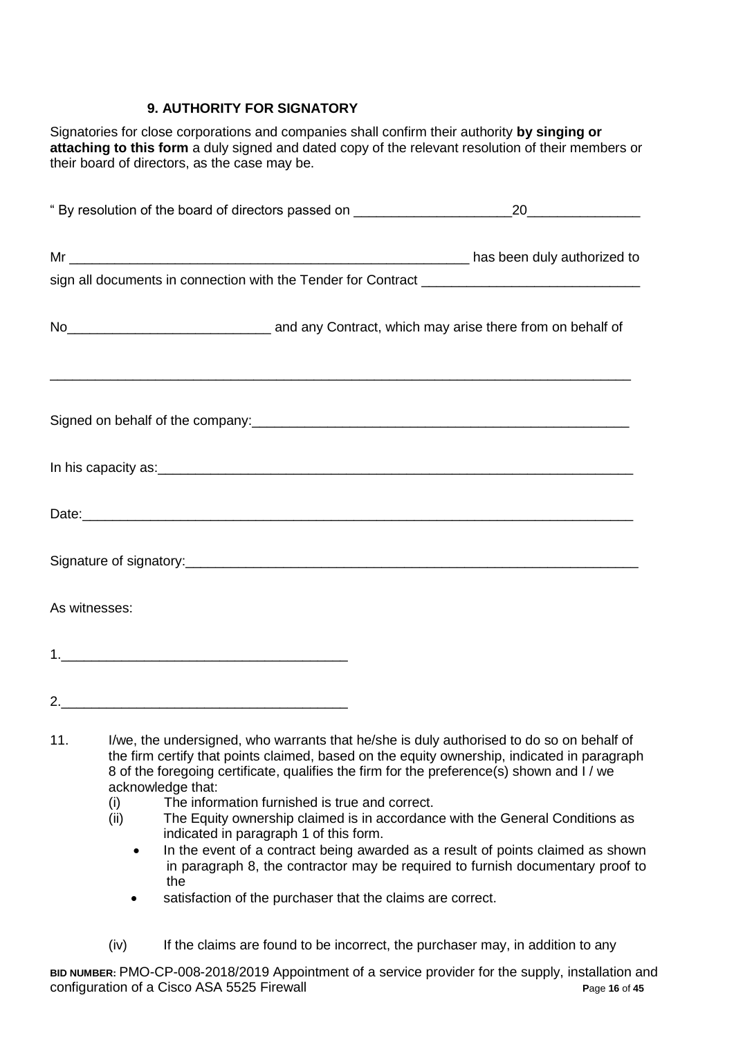## **9. AUTHORITY FOR SIGNATORY**

Signatories for close corporations and companies shall confirm their authority **by singing or attaching to this form** a duly signed and dated copy of the relevant resolution of their members or their board of directors, as the case may be.

|               | No <sub>___________________________________</sub> and any Contract, which may arise there from on behalf of                                                                                                                        |
|---------------|------------------------------------------------------------------------------------------------------------------------------------------------------------------------------------------------------------------------------------|
|               |                                                                                                                                                                                                                                    |
|               |                                                                                                                                                                                                                                    |
|               |                                                                                                                                                                                                                                    |
|               |                                                                                                                                                                                                                                    |
| As witnesses: |                                                                                                                                                                                                                                    |
|               |                                                                                                                                                                                                                                    |
| 2.            |                                                                                                                                                                                                                                    |
|               | $\mathcal{L}$ , and the state of the state of the state of the state of the state of the state of the state of the state of the state of the state of the state of the state of the state of the state of the state of the state o |

- 11. I/we, the undersigned, who warrants that he/she is duly authorised to do so on behalf of the firm certify that points claimed, based on the equity ownership, indicated in paragraph 8 of the foregoing certificate, qualifies the firm for the preference(s) shown and I / we acknowledge that:
	- (i) The information furnished is true and correct.
	- (ii) The Equity ownership claimed is in accordance with the General Conditions as indicated in paragraph 1 of this form.
		- In the event of a contract being awarded as a result of points claimed as shown in paragraph 8, the contractor may be required to furnish documentary proof to the
		- satisfaction of the purchaser that the claims are correct.
	- (iv) If the claims are found to be incorrect, the purchaser may, in addition to any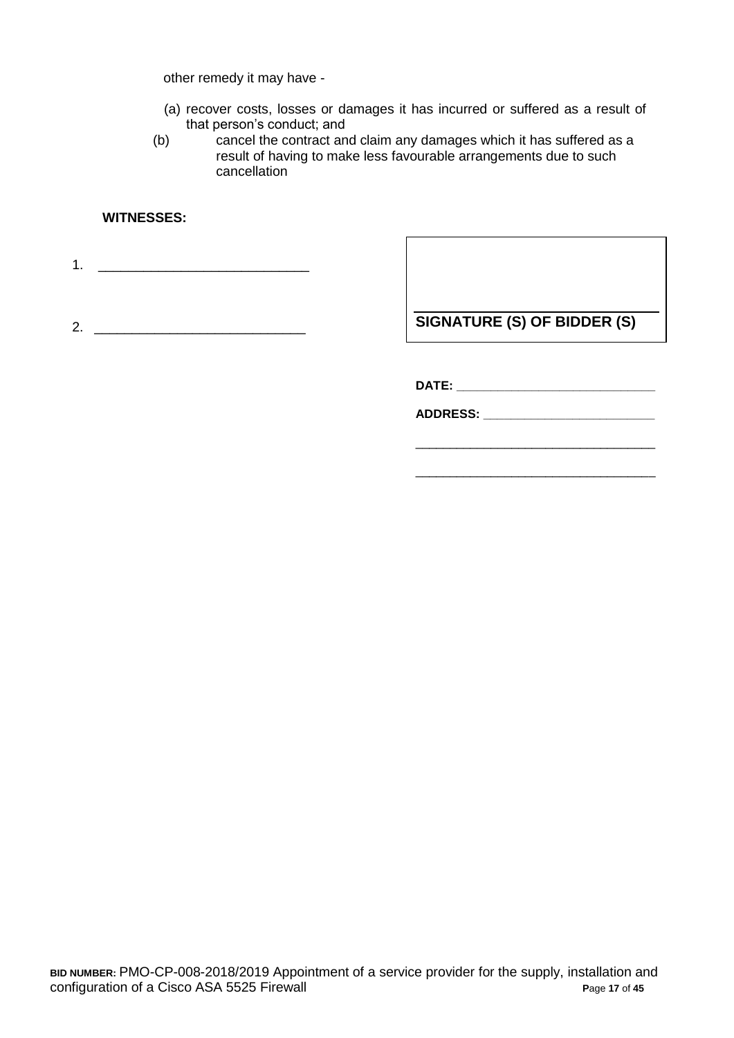other remedy it may have -

- (a) recover costs, losses or damages it has incurred or suffered as a result of that person's conduct; and
- (b) cancel the contract and claim any damages which it has suffered as a result of having to make less favourable arrangements due to such cancellation

## **WITNESSES:**

1. \_\_\_\_\_\_\_\_\_\_\_\_\_\_\_\_\_\_\_\_\_\_\_\_\_\_\_\_

2. \_\_\_\_\_\_\_\_\_\_\_\_\_\_\_\_\_\_\_\_\_\_\_\_\_\_\_\_

**SIGNATURE (S) OF BIDDER (S)**

\_\_\_\_\_\_\_\_\_\_\_\_\_\_\_\_\_\_\_\_\_\_\_\_\_\_\_\_\_\_\_\_\_\_\_

\_\_\_\_\_\_\_\_\_\_\_\_\_\_\_\_\_\_\_\_\_\_\_\_\_\_\_\_\_\_\_\_\_\_\_

**DATE: \_\_\_\_\_\_\_\_\_\_\_\_\_\_\_\_\_\_\_\_\_\_\_\_\_\_\_\_\_**

**ADDRESS: \_\_\_\_\_\_\_\_\_\_\_\_\_\_\_\_\_\_\_\_\_\_\_\_\_**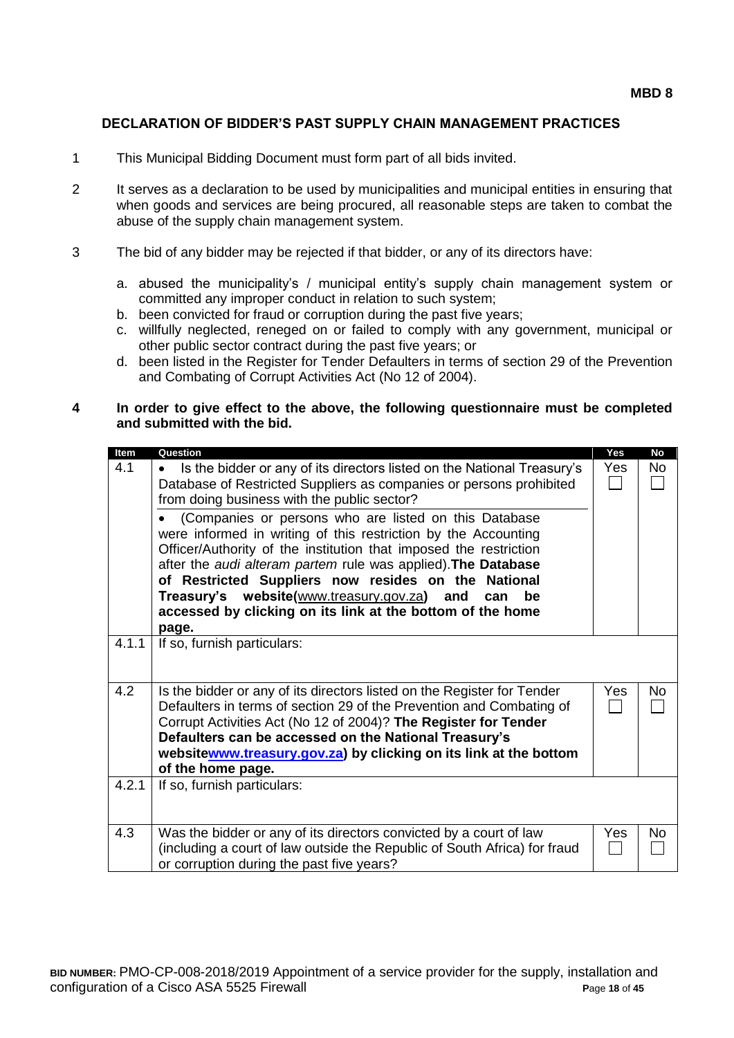### **DECLARATION OF BIDDER'S PAST SUPPLY CHAIN MANAGEMENT PRACTICES**

- 1 This Municipal Bidding Document must form part of all bids invited.
- 2 It serves as a declaration to be used by municipalities and municipal entities in ensuring that when goods and services are being procured, all reasonable steps are taken to combat the abuse of the supply chain management system.
- 3 The bid of any bidder may be rejected if that bidder, or any of its directors have:
	- a. abused the municipality's / municipal entity's supply chain management system or committed any improper conduct in relation to such system;
	- b. been convicted for fraud or corruption during the past five years;
	- c. willfully neglected, reneged on or failed to comply with any government, municipal or other public sector contract during the past five years; or
	- d. been listed in the Register for Tender Defaulters in terms of section 29 of the Prevention and Combating of Corrupt Activities Act (No 12 of 2004).

#### **4 In order to give effect to the above, the following questionnaire must be completed and submitted with the bid.**

| Item  | Question                                                                             | Yes        | <b>No</b> |
|-------|--------------------------------------------------------------------------------------|------------|-----------|
| 4.1   | Is the bidder or any of its directors listed on the National Treasury's<br>$\bullet$ | <b>Yes</b> | No.       |
|       | Database of Restricted Suppliers as companies or persons prohibited                  |            |           |
|       | from doing business with the public sector?                                          |            |           |
|       | (Companies or persons who are listed on this Database                                |            |           |
|       | were informed in writing of this restriction by the Accounting                       |            |           |
|       | Officer/Authority of the institution that imposed the restriction                    |            |           |
|       | after the audi alteram partem rule was applied). The Database                        |            |           |
|       | of Restricted Suppliers now resides on the National                                  |            |           |
|       | Treasury's website(www.treasury.gov.za) and<br>be<br>can                             |            |           |
|       | accessed by clicking on its link at the bottom of the home                           |            |           |
|       | page.                                                                                |            |           |
| 4.1.1 | If so, furnish particulars:                                                          |            |           |
|       |                                                                                      |            |           |
| 4.2   | Is the bidder or any of its directors listed on the Register for Tender              | Yes        | No        |
|       | Defaulters in terms of section 29 of the Prevention and Combating of                 |            |           |
|       | Corrupt Activities Act (No 12 of 2004)? The Register for Tender                      |            |           |
|       | Defaulters can be accessed on the National Treasury's                                |            |           |
|       | websitewww.treasury.gov.za) by clicking on its link at the bottom                    |            |           |
|       | of the home page.                                                                    |            |           |
| 4.2.1 | If so, furnish particulars:                                                          |            |           |
|       |                                                                                      |            |           |
|       |                                                                                      |            |           |
| 4.3   | Was the bidder or any of its directors convicted by a court of law                   | Yes        | No        |
|       | (including a court of law outside the Republic of South Africa) for fraud            |            |           |
|       | or corruption during the past five years?                                            |            |           |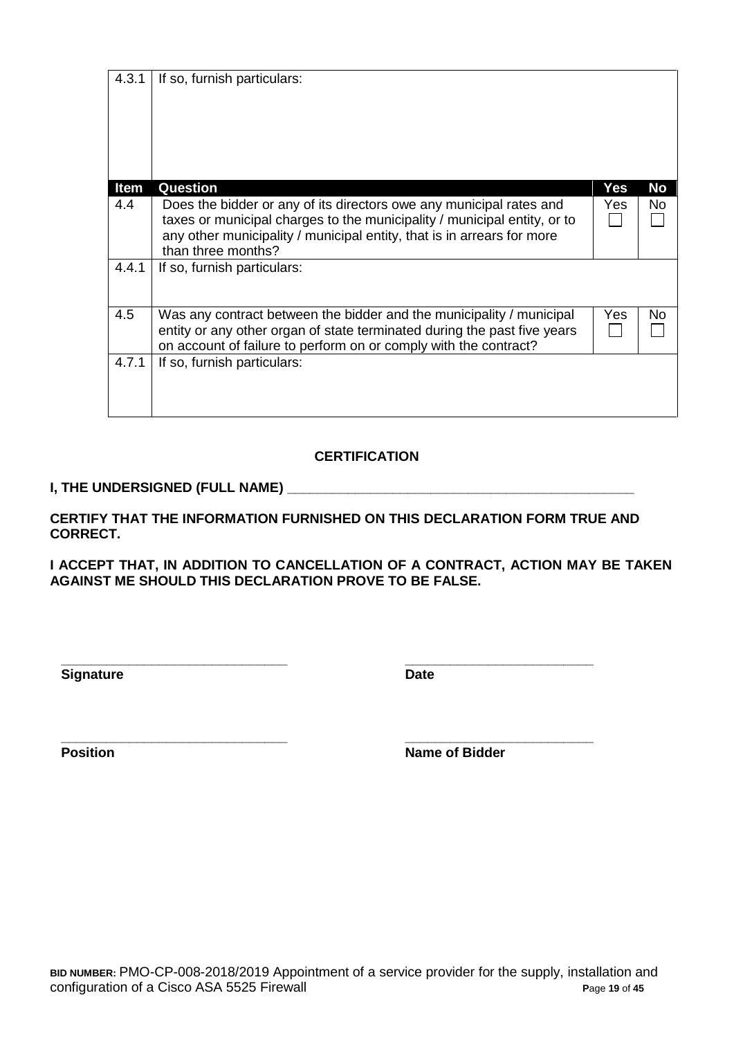| 4.3.1       | If so, furnish particulars:                                                                                                                                                                                                                     |     |           |
|-------------|-------------------------------------------------------------------------------------------------------------------------------------------------------------------------------------------------------------------------------------------------|-----|-----------|
| <b>Item</b> | <b>Question</b>                                                                                                                                                                                                                                 | Yes | <b>No</b> |
| 4.4         | Does the bidder or any of its directors owe any municipal rates and<br>taxes or municipal charges to the municipality / municipal entity, or to<br>any other municipality / municipal entity, that is in arrears for more<br>than three months? | Yes | No        |
| 4.4.1       | If so, furnish particulars:                                                                                                                                                                                                                     |     |           |
| 4.5         | Was any contract between the bidder and the municipality / municipal<br>entity or any other organ of state terminated during the past five years<br>on account of failure to perform on or comply with the contract?                            | Yes | No        |
| 4.7.1       | If so, furnish particulars:                                                                                                                                                                                                                     |     |           |

## **CERTIFICATION**

## **I, THE UNDERSIGNED (FULL NAME) \_\_\_\_\_\_\_\_\_\_\_\_\_\_\_\_\_\_\_\_\_\_\_\_\_\_\_\_\_\_\_\_\_\_\_\_\_\_\_\_\_\_\_\_\_\_**

**CERTIFY THAT THE INFORMATION FURNISHED ON THIS DECLARATION FORM TRUE AND CORRECT.**

**I ACCEPT THAT, IN ADDITION TO CANCELLATION OF A CONTRACT, ACTION MAY BE TAKEN AGAINST ME SHOULD THIS DECLARATION PROVE TO BE FALSE.**

**Signature Date** 

**\_\_\_\_\_\_\_\_\_\_\_\_\_\_\_\_\_\_\_\_\_\_\_\_\_\_\_\_\_\_ \_\_\_\_\_\_\_\_\_\_\_\_\_\_\_\_\_\_\_\_\_\_\_\_\_**

**\_\_\_\_\_\_\_\_\_\_\_\_\_\_\_\_\_\_\_\_\_\_\_\_\_\_\_\_\_\_ \_\_\_\_\_\_\_\_\_\_\_\_\_\_\_\_\_\_\_\_\_\_\_\_\_ Position Name of Bidder**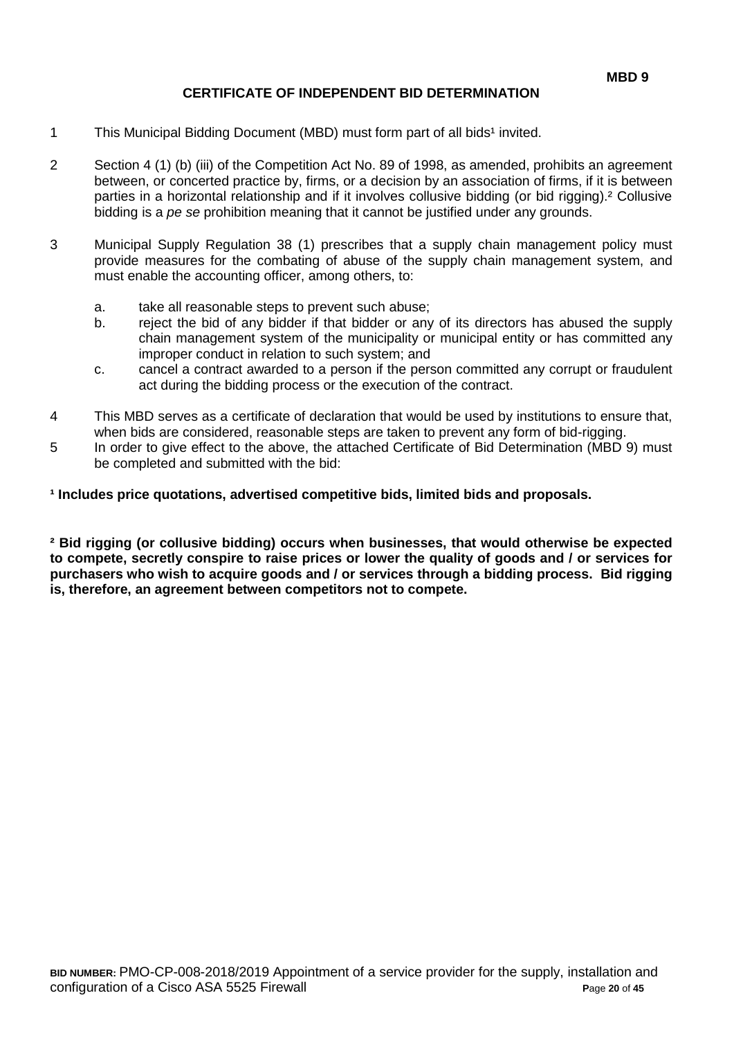### **CERTIFICATE OF INDEPENDENT BID DETERMINATION**

- 1 This Municipal Bidding Document (MBD) must form part of all bids<sup>1</sup> invited.
- 2 Section 4 (1) (b) (iii) of the Competition Act No. 89 of 1998, as amended, prohibits an agreement between, or concerted practice by, firms, or a decision by an association of firms, if it is between parties in a horizontal relationship and if it involves collusive bidding (or bid rigging).² Collusive bidding is a *pe se* prohibition meaning that it cannot be justified under any grounds.
- 3 Municipal Supply Regulation 38 (1) prescribes that a supply chain management policy must provide measures for the combating of abuse of the supply chain management system, and must enable the accounting officer, among others, to:
	- a. take all reasonable steps to prevent such abuse;
	- b. reject the bid of any bidder if that bidder or any of its directors has abused the supply chain management system of the municipality or municipal entity or has committed any improper conduct in relation to such system; and
	- c. cancel a contract awarded to a person if the person committed any corrupt or fraudulent act during the bidding process or the execution of the contract.
- 4 This MBD serves as a certificate of declaration that would be used by institutions to ensure that, when bids are considered, reasonable steps are taken to prevent any form of bid-rigging.
- 5 In order to give effect to the above, the attached Certificate of Bid Determination (MBD 9) must be completed and submitted with the bid:

**¹ Includes price quotations, advertised competitive bids, limited bids and proposals.**

**² Bid rigging (or collusive bidding) occurs when businesses, that would otherwise be expected to compete, secretly conspire to raise prices or lower the quality of goods and / or services for purchasers who wish to acquire goods and / or services through a bidding process. Bid rigging is, therefore, an agreement between competitors not to compete.**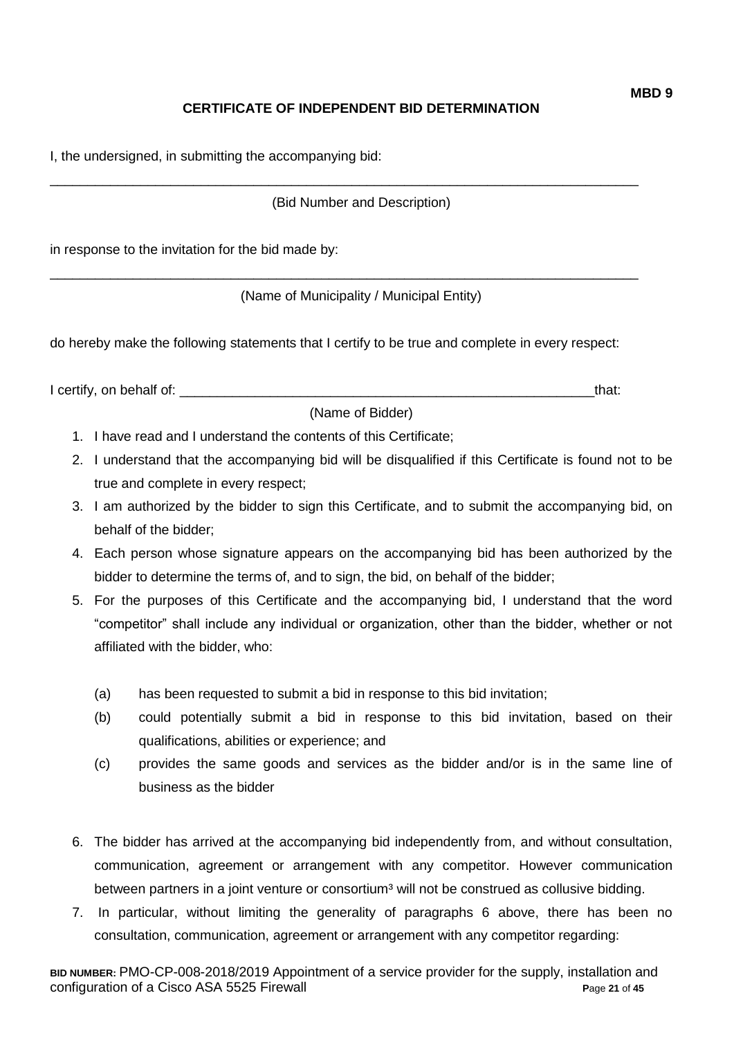## **CERTIFICATE OF INDEPENDENT BID DETERMINATION**

I, the undersigned, in submitting the accompanying bid:

(Bid Number and Description)

\_\_\_\_\_\_\_\_\_\_\_\_\_\_\_\_\_\_\_\_\_\_\_\_\_\_\_\_\_\_\_\_\_\_\_\_\_\_\_\_\_\_\_\_\_\_\_\_\_\_\_\_\_\_\_\_\_\_\_\_\_\_\_\_\_\_\_\_\_\_\_\_\_\_\_\_\_\_

\_\_\_\_\_\_\_\_\_\_\_\_\_\_\_\_\_\_\_\_\_\_\_\_\_\_\_\_\_\_\_\_\_\_\_\_\_\_\_\_\_\_\_\_\_\_\_\_\_\_\_\_\_\_\_\_\_\_\_\_\_\_\_\_\_\_\_\_\_\_\_\_\_\_\_\_\_\_

in response to the invitation for the bid made by:

(Name of Municipality / Municipal Entity)

do hereby make the following statements that I certify to be true and complete in every respect:

I certify, on behalf of: the same of the same of the same of the same of the same of the same of the same of the same of the same of the same of the same of the same of the same of the same of the same of the same of the s

(Name of Bidder)

- 1. I have read and I understand the contents of this Certificate;
- 2. I understand that the accompanying bid will be disqualified if this Certificate is found not to be true and complete in every respect;
- 3. I am authorized by the bidder to sign this Certificate, and to submit the accompanying bid, on behalf of the bidder;
- 4. Each person whose signature appears on the accompanying bid has been authorized by the bidder to determine the terms of, and to sign, the bid, on behalf of the bidder;
- 5. For the purposes of this Certificate and the accompanying bid, I understand that the word "competitor" shall include any individual or organization, other than the bidder, whether or not affiliated with the bidder, who:
	- (a) has been requested to submit a bid in response to this bid invitation;
	- (b) could potentially submit a bid in response to this bid invitation, based on their qualifications, abilities or experience; and
	- (c) provides the same goods and services as the bidder and/or is in the same line of business as the bidder
- 6. The bidder has arrived at the accompanying bid independently from, and without consultation, communication, agreement or arrangement with any competitor. However communication between partners in a joint venture or consortium<sup>3</sup> will not be construed as collusive bidding.
- 7. In particular, without limiting the generality of paragraphs 6 above, there has been no consultation, communication, agreement or arrangement with any competitor regarding: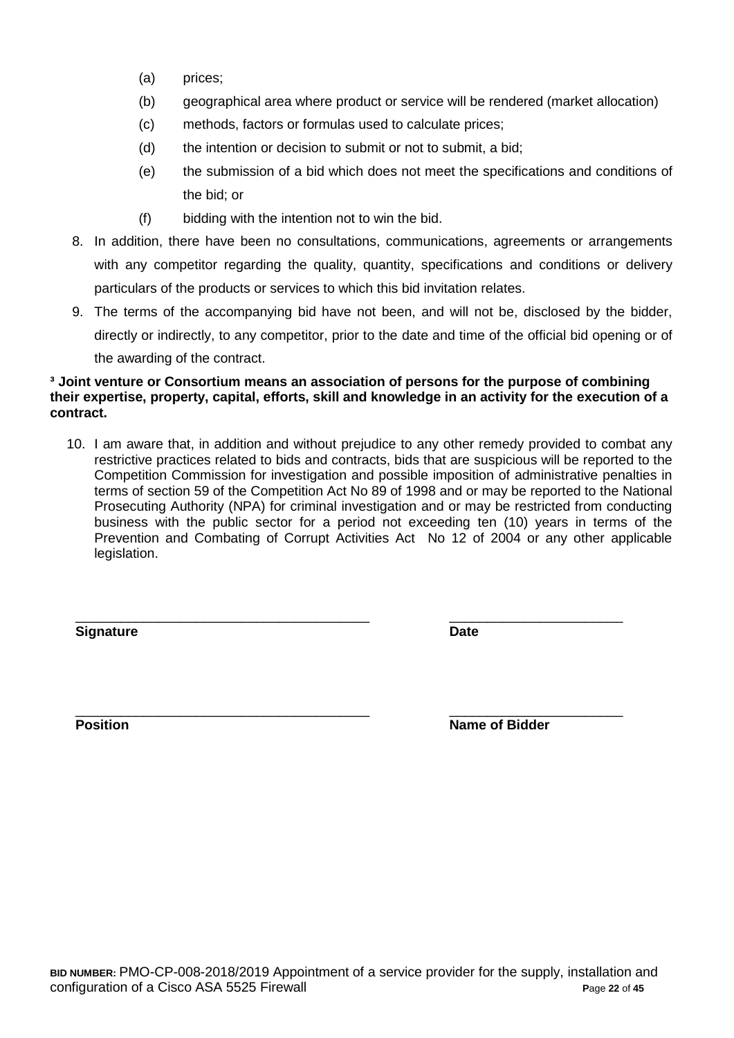- (a) prices;
- (b) geographical area where product or service will be rendered (market allocation)
- (c) methods, factors or formulas used to calculate prices;
- (d) the intention or decision to submit or not to submit, a bid;
- (e) the submission of a bid which does not meet the specifications and conditions of the bid; or
- (f) bidding with the intention not to win the bid.
- 8. In addition, there have been no consultations, communications, agreements or arrangements with any competitor regarding the quality, quantity, specifications and conditions or delivery particulars of the products or services to which this bid invitation relates.
- 9. The terms of the accompanying bid have not been, and will not be, disclosed by the bidder, directly or indirectly, to any competitor, prior to the date and time of the official bid opening or of the awarding of the contract.

#### **³ Joint venture or Consortium means an association of persons for the purpose of combining their expertise, property, capital, efforts, skill and knowledge in an activity for the execution of a contract.**

10. I am aware that, in addition and without prejudice to any other remedy provided to combat any restrictive practices related to bids and contracts, bids that are suspicious will be reported to the Competition Commission for investigation and possible imposition of administrative penalties in terms of section 59 of the Competition Act No 89 of 1998 and or may be reported to the National Prosecuting Authority (NPA) for criminal investigation and or may be restricted from conducting business with the public sector for a period not exceeding ten (10) years in terms of the Prevention and Combating of Corrupt Activities Act No 12 of 2004 or any other applicable legislation.

\_\_\_\_\_\_\_\_\_\_\_\_\_\_\_\_\_\_\_\_\_\_\_\_\_\_\_\_\_\_\_\_\_\_\_\_\_\_\_ \_\_\_\_\_\_\_\_\_\_\_\_\_\_\_\_\_\_\_\_\_\_\_

**Signature Date**

\_\_\_\_\_\_\_\_\_\_\_\_\_\_\_\_\_\_\_\_\_\_\_\_\_\_\_\_\_\_\_\_\_\_\_\_\_\_\_ \_\_\_\_\_\_\_\_\_\_\_\_\_\_\_\_\_\_\_\_\_\_\_ **Position Name of Bidder**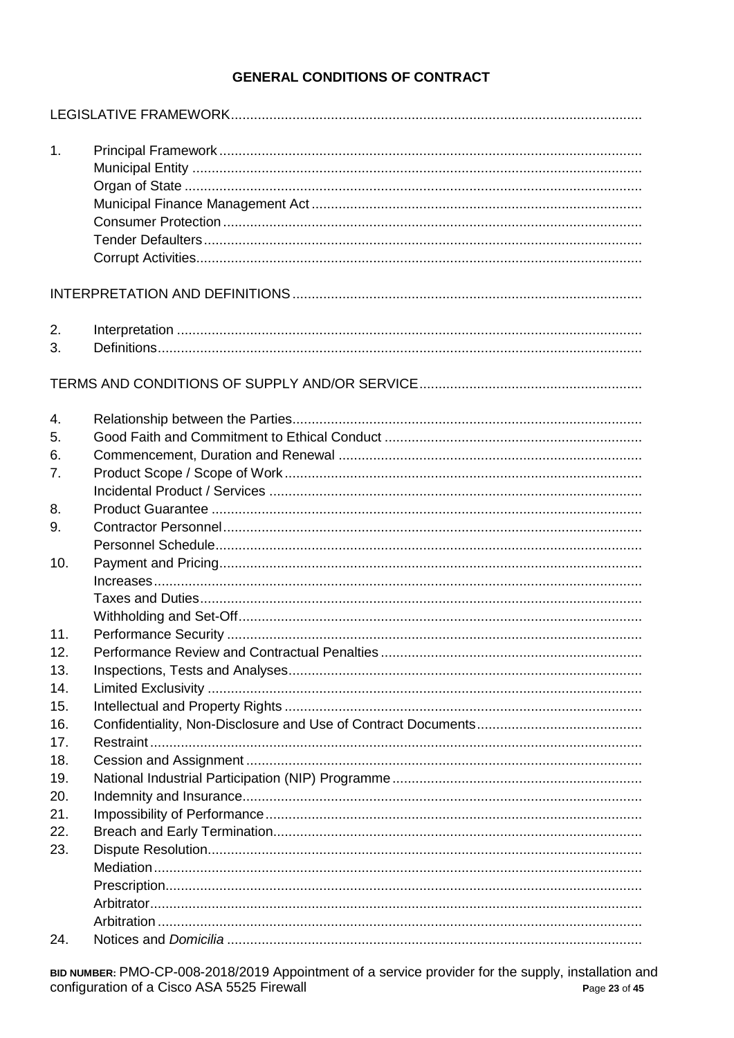## **GENERAL CONDITIONS OF CONTRACT**

| 1.  |  |
|-----|--|
|     |  |
|     |  |
|     |  |
|     |  |
|     |  |
| 2.  |  |
| 3.  |  |
|     |  |
| 4.  |  |
| 5.  |  |
| 6.  |  |
| 7.  |  |
|     |  |
| 8.  |  |
| 9.  |  |
| 10. |  |
|     |  |
|     |  |
|     |  |
| 11. |  |
| 12. |  |
| 13. |  |
| 14. |  |
| 15. |  |
| 16. |  |
| 17. |  |
| 18. |  |
| 19. |  |
| 20. |  |
| 21. |  |
| 22. |  |
| 23. |  |
|     |  |
|     |  |
|     |  |
| 24. |  |
|     |  |

в илимвек: PMO-CP-008-2018/2019 Appointment of a service provider for the supply, installation and configuration of a Cisco ASA 5525 Firewall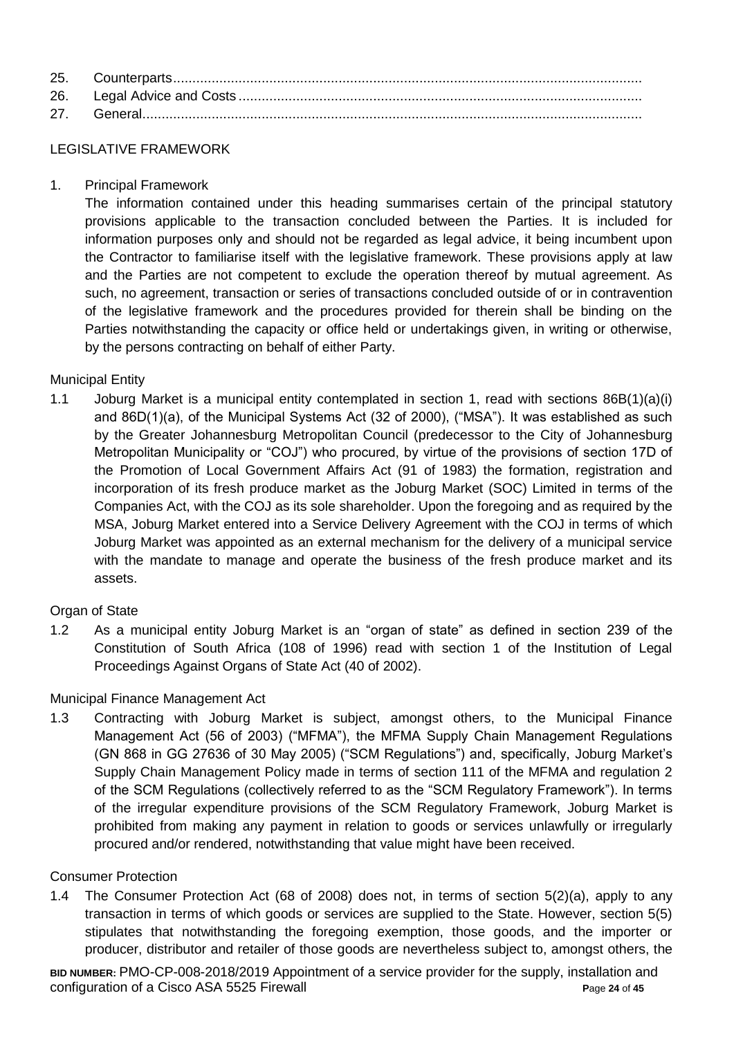### LEGISLATIVE FRAMEWORK

1. Principal Framework

The information contained under this heading summarises certain of the principal statutory provisions applicable to the transaction concluded between the Parties. It is included for information purposes only and should not be regarded as legal advice, it being incumbent upon the Contractor to familiarise itself with the legislative framework. These provisions apply at law and the Parties are not competent to exclude the operation thereof by mutual agreement. As such, no agreement, transaction or series of transactions concluded outside of or in contravention of the legislative framework and the procedures provided for therein shall be binding on the Parties notwithstanding the capacity or office held or undertakings given, in writing or otherwise, by the persons contracting on behalf of either Party.

## Municipal Entity

1.1 Joburg Market is a municipal entity contemplated in section 1, read with sections 86B(1)(a)(i) and 86D(1)(a), of the Municipal Systems Act (32 of 2000), ("MSA"). It was established as such by the Greater Johannesburg Metropolitan Council (predecessor to the City of Johannesburg Metropolitan Municipality or "COJ") who procured, by virtue of the provisions of section 17D of the Promotion of Local Government Affairs Act (91 of 1983) the formation, registration and incorporation of its fresh produce market as the Joburg Market (SOC) Limited in terms of the Companies Act, with the COJ as its sole shareholder. Upon the foregoing and as required by the MSA, Joburg Market entered into a Service Delivery Agreement with the COJ in terms of which Joburg Market was appointed as an external mechanism for the delivery of a municipal service with the mandate to manage and operate the business of the fresh produce market and its assets.

## Organ of State

1.2 As a municipal entity Joburg Market is an "organ of state" as defined in section 239 of the Constitution of South Africa (108 of 1996) read with section 1 of the Institution of Legal Proceedings Against Organs of State Act (40 of 2002).

## Municipal Finance Management Act

1.3 Contracting with Joburg Market is subject, amongst others, to the Municipal Finance Management Act (56 of 2003) ("MFMA"), the MFMA Supply Chain Management Regulations (GN 868 in GG 27636 of 30 May 2005) ("SCM Regulations") and, specifically, Joburg Market's Supply Chain Management Policy made in terms of section 111 of the MFMA and regulation 2 of the SCM Regulations (collectively referred to as the "SCM Regulatory Framework"). In terms of the irregular expenditure provisions of the SCM Regulatory Framework, Joburg Market is prohibited from making any payment in relation to goods or services unlawfully or irregularly procured and/or rendered, notwithstanding that value might have been received.

#### Consumer Protection

1.4 The Consumer Protection Act (68 of 2008) does not, in terms of section 5(2)(a), apply to any transaction in terms of which goods or services are supplied to the State. However, section 5(5) stipulates that notwithstanding the foregoing exemption, those goods, and the importer or producer, distributor and retailer of those goods are nevertheless subject to, amongst others, the

**BID NUMBER:** PMO-CP-008-2018/2019 Appointment of a service provider for the supply, installation and configuration of a Cisco ASA 5525 Firewall **P**age **24** of **45**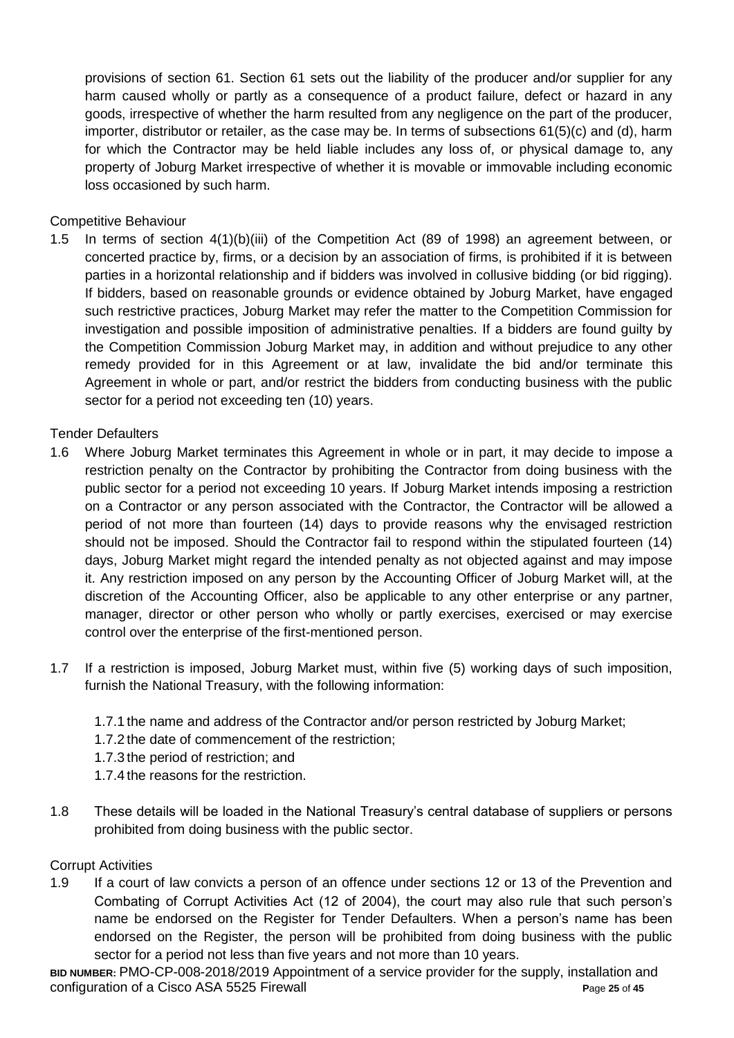provisions of section 61. Section 61 sets out the liability of the producer and/or supplier for any harm caused wholly or partly as a consequence of a product failure, defect or hazard in any goods, irrespective of whether the harm resulted from any negligence on the part of the producer, importer, distributor or retailer, as the case may be. In terms of subsections 61(5)(c) and (d), harm for which the Contractor may be held liable includes any loss of, or physical damage to, any property of Joburg Market irrespective of whether it is movable or immovable including economic loss occasioned by such harm.

## Competitive Behaviour

1.5 In terms of section 4(1)(b)(iii) of the Competition Act (89 of 1998) an agreement between, or concerted practice by, firms, or a decision by an association of firms, is prohibited if it is between parties in a horizontal relationship and if bidders was involved in collusive bidding (or bid rigging). If bidders, based on reasonable grounds or evidence obtained by Joburg Market, have engaged such restrictive practices, Joburg Market may refer the matter to the Competition Commission for investigation and possible imposition of administrative penalties. If a bidders are found guilty by the Competition Commission Joburg Market may, in addition and without prejudice to any other remedy provided for in this Agreement or at law, invalidate the bid and/or terminate this Agreement in whole or part, and/or restrict the bidders from conducting business with the public sector for a period not exceeding ten (10) years.

## Tender Defaulters

- 1.6 Where Joburg Market terminates this Agreement in whole or in part, it may decide to impose a restriction penalty on the Contractor by prohibiting the Contractor from doing business with the public sector for a period not exceeding 10 years. If Joburg Market intends imposing a restriction on a Contractor or any person associated with the Contractor, the Contractor will be allowed a period of not more than fourteen (14) days to provide reasons why the envisaged restriction should not be imposed. Should the Contractor fail to respond within the stipulated fourteen (14) days, Joburg Market might regard the intended penalty as not objected against and may impose it. Any restriction imposed on any person by the Accounting Officer of Joburg Market will, at the discretion of the Accounting Officer, also be applicable to any other enterprise or any partner, manager, director or other person who wholly or partly exercises, exercised or may exercise control over the enterprise of the first-mentioned person.
- 1.7 If a restriction is imposed, Joburg Market must, within five (5) working days of such imposition, furnish the National Treasury, with the following information:
	- 1.7.1 the name and address of the Contractor and/or person restricted by Joburg Market;
	- 1.7.2 the date of commencement of the restriction;
	- 1.7.3 the period of restriction; and
	- 1.7.4 the reasons for the restriction.
- 1.8 These details will be loaded in the National Treasury's central database of suppliers or persons prohibited from doing business with the public sector.

## Corrupt Activities

1.9 If a court of law convicts a person of an offence under sections 12 or 13 of the Prevention and Combating of Corrupt Activities Act (12 of 2004), the court may also rule that such person's name be endorsed on the Register for Tender Defaulters. When a person's name has been endorsed on the Register, the person will be prohibited from doing business with the public sector for a period not less than five years and not more than 10 years.

**BID NUMBER:** PMO-CP-008-2018/2019 Appointment of a service provider for the supply, installation and configuration of a Cisco ASA 5525 Firewall **P**age **25** of **45**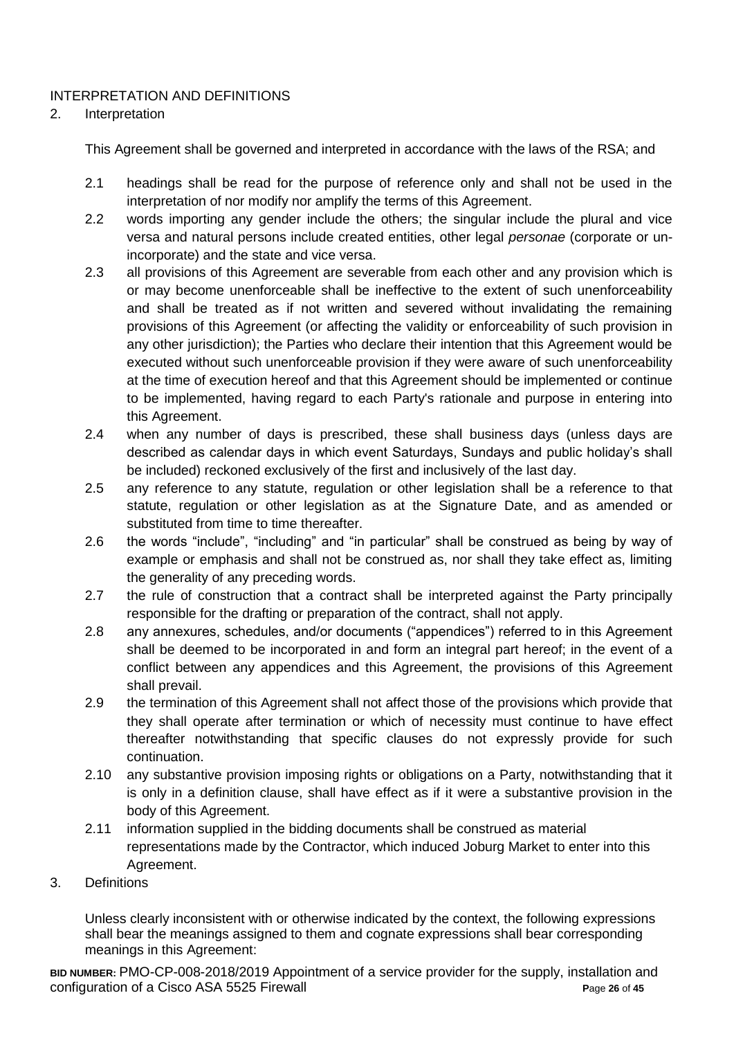## INTERPRETATION AND DEFINITIONS

## 2. Interpretation

This Agreement shall be governed and interpreted in accordance with the laws of the RSA; and

- 2.1 headings shall be read for the purpose of reference only and shall not be used in the interpretation of nor modify nor amplify the terms of this Agreement.
- 2.2 words importing any gender include the others; the singular include the plural and vice versa and natural persons include created entities, other legal *personae* (corporate or unincorporate) and the state and vice versa.
- 2.3 all provisions of this Agreement are severable from each other and any provision which is or may become unenforceable shall be ineffective to the extent of such unenforceability and shall be treated as if not written and severed without invalidating the remaining provisions of this Agreement (or affecting the validity or enforceability of such provision in any other jurisdiction); the Parties who declare their intention that this Agreement would be executed without such unenforceable provision if they were aware of such unenforceability at the time of execution hereof and that this Agreement should be implemented or continue to be implemented, having regard to each Party's rationale and purpose in entering into this Agreement.
- 2.4 when any number of days is prescribed, these shall business days (unless days are described as calendar days in which event Saturdays, Sundays and public holiday's shall be included) reckoned exclusively of the first and inclusively of the last day.
- 2.5 any reference to any statute, regulation or other legislation shall be a reference to that statute, regulation or other legislation as at the Signature Date, and as amended or substituted from time to time thereafter.
- 2.6 the words "include", "including" and "in particular" shall be construed as being by way of example or emphasis and shall not be construed as, nor shall they take effect as, limiting the generality of any preceding words.
- 2.7 the rule of construction that a contract shall be interpreted against the Party principally responsible for the drafting or preparation of the contract, shall not apply.
- 2.8 any annexures, schedules, and/or documents ("appendices") referred to in this Agreement shall be deemed to be incorporated in and form an integral part hereof; in the event of a conflict between any appendices and this Agreement, the provisions of this Agreement shall prevail.
- 2.9 the termination of this Agreement shall not affect those of the provisions which provide that they shall operate after termination or which of necessity must continue to have effect thereafter notwithstanding that specific clauses do not expressly provide for such continuation.
- 2.10 any substantive provision imposing rights or obligations on a Party, notwithstanding that it is only in a definition clause, shall have effect as if it were a substantive provision in the body of this Agreement.
- 2.11 information supplied in the bidding documents shall be construed as material representations made by the Contractor, which induced Joburg Market to enter into this Agreement.
- 3. Definitions

Unless clearly inconsistent with or otherwise indicated by the context, the following expressions shall bear the meanings assigned to them and cognate expressions shall bear corresponding meanings in this Agreement:

**BID NUMBER:** PMO-CP-008-2018/2019 Appointment of a service provider for the supply, installation and configuration of a Cisco ASA 5525 Firewall **P**age **26** of **45**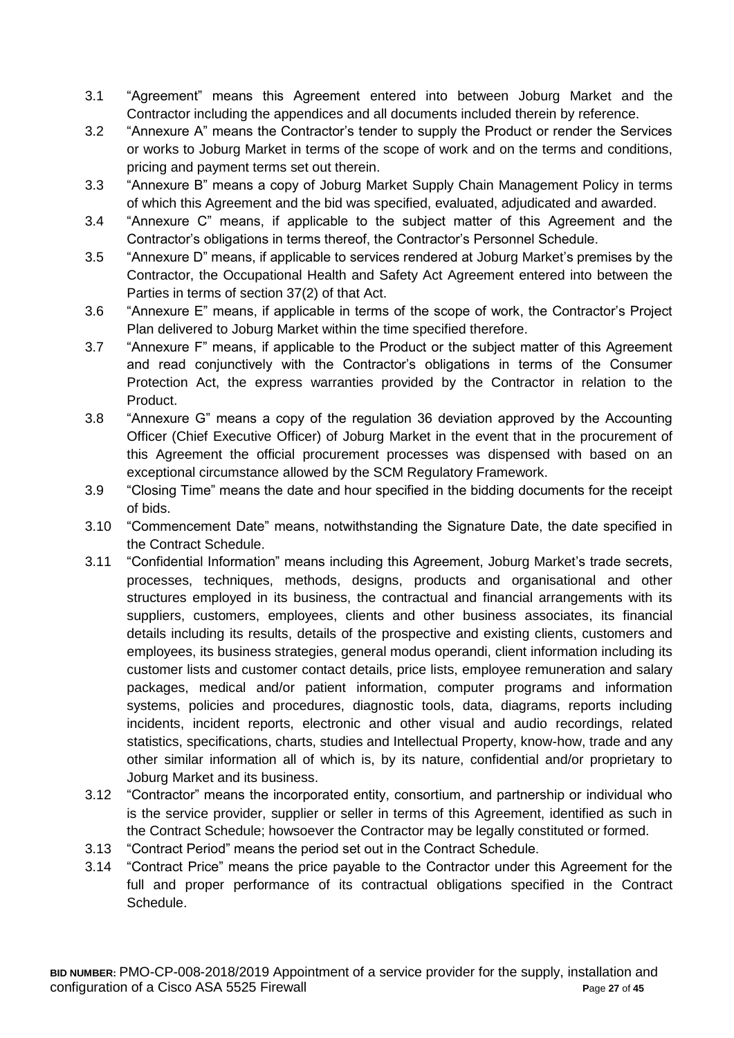- 3.1 "Agreement" means this Agreement entered into between Joburg Market and the Contractor including the appendices and all documents included therein by reference.
- 3.2 "Annexure A" means the Contractor's tender to supply the Product or render the Services or works to Joburg Market in terms of the scope of work and on the terms and conditions, pricing and payment terms set out therein.
- 3.3 "Annexure B" means a copy of Joburg Market Supply Chain Management Policy in terms of which this Agreement and the bid was specified, evaluated, adjudicated and awarded.
- 3.4 "Annexure C" means, if applicable to the subject matter of this Agreement and the Contractor's obligations in terms thereof, the Contractor's Personnel Schedule.
- 3.5 "Annexure D" means, if applicable to services rendered at Joburg Market's premises by the Contractor, the Occupational Health and Safety Act Agreement entered into between the Parties in terms of section 37(2) of that Act.
- 3.6 "Annexure E" means, if applicable in terms of the scope of work, the Contractor's Project Plan delivered to Joburg Market within the time specified therefore.
- 3.7 "Annexure F" means, if applicable to the Product or the subject matter of this Agreement and read conjunctively with the Contractor's obligations in terms of the Consumer Protection Act, the express warranties provided by the Contractor in relation to the Product.
- 3.8 "Annexure G" means a copy of the regulation 36 deviation approved by the Accounting Officer (Chief Executive Officer) of Joburg Market in the event that in the procurement of this Agreement the official procurement processes was dispensed with based on an exceptional circumstance allowed by the SCM Regulatory Framework.
- 3.9 "Closing Time" means the date and hour specified in the bidding documents for the receipt of bids.
- 3.10 "Commencement Date" means, notwithstanding the Signature Date, the date specified in the Contract Schedule.
- 3.11 "Confidential Information" means including this Agreement, Joburg Market's trade secrets, processes, techniques, methods, designs, products and organisational and other structures employed in its business, the contractual and financial arrangements with its suppliers, customers, employees, clients and other business associates, its financial details including its results, details of the prospective and existing clients, customers and employees, its business strategies, general modus operandi, client information including its customer lists and customer contact details, price lists, employee remuneration and salary packages, medical and/or patient information, computer programs and information systems, policies and procedures, diagnostic tools, data, diagrams, reports including incidents, incident reports, electronic and other visual and audio recordings, related statistics, specifications, charts, studies and Intellectual Property, know-how, trade and any other similar information all of which is, by its nature, confidential and/or proprietary to Joburg Market and its business.
- 3.12 "Contractor" means the incorporated entity, consortium, and partnership or individual who is the service provider, supplier or seller in terms of this Agreement, identified as such in the Contract Schedule; howsoever the Contractor may be legally constituted or formed.
- 3.13 "Contract Period" means the period set out in the Contract Schedule.
- 3.14 "Contract Price" means the price payable to the Contractor under this Agreement for the full and proper performance of its contractual obligations specified in the Contract Schedule.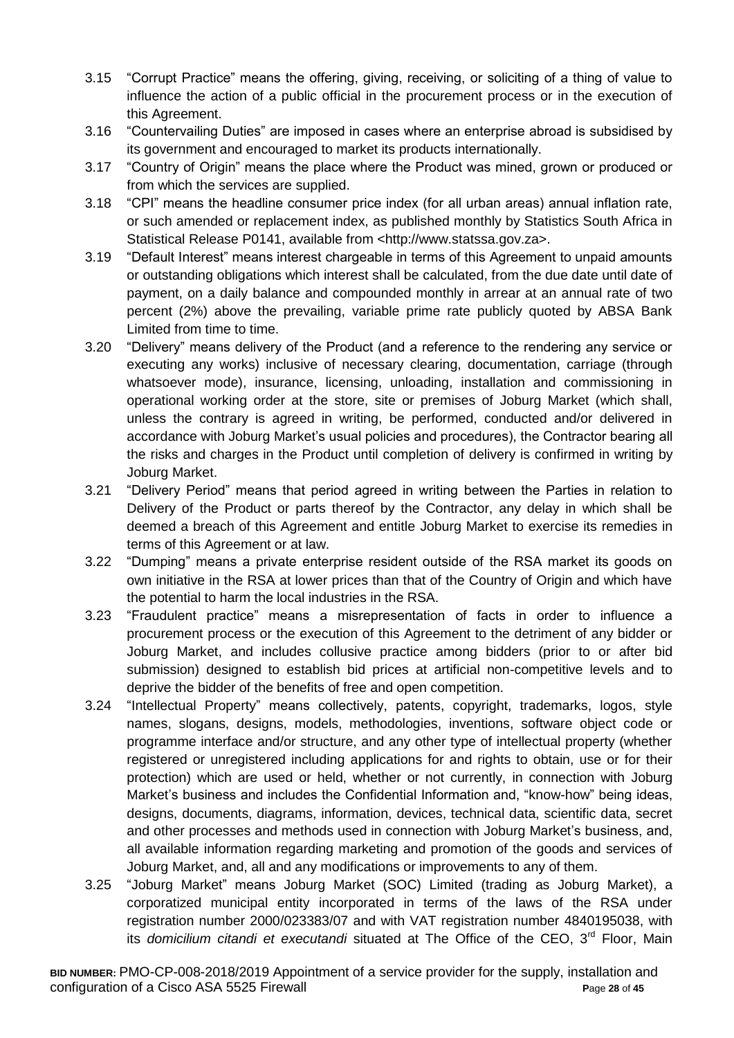- 3.15 "Corrupt Practice" means the offering, giving, receiving, or soliciting of a thing of value to influence the action of a public official in the procurement process or in the execution of this Agreement.
- 3.16 "Countervailing Duties" are imposed in cases where an enterprise abroad is subsidised by its government and encouraged to market its products internationally.
- 3.17 "Country of Origin" means the place where the Product was mined, grown or produced or from which the services are supplied.
- 3.18 "CPI" means the headline consumer price index (for all urban areas) annual inflation rate, or such amended or replacement index, as published monthly by Statistics South Africa in Statistical Release P0141, available from <http://www.statssa.gov.za>.
- 3.19 "Default Interest" means interest chargeable in terms of this Agreement to unpaid amounts or outstanding obligations which interest shall be calculated, from the due date until date of payment, on a daily balance and compounded monthly in arrear at an annual rate of two percent (2%) above the prevailing, variable prime rate publicly quoted by ABSA Bank Limited from time to time.
- 3.20 "Delivery" means delivery of the Product (and a reference to the rendering any service or executing any works) inclusive of necessary clearing, documentation, carriage (through whatsoever mode), insurance, licensing, unloading, installation and commissioning in operational working order at the store, site or premises of Joburg Market (which shall, unless the contrary is agreed in writing, be performed, conducted and/or delivered in accordance with Joburg Market's usual policies and procedures), the Contractor bearing all the risks and charges in the Product until completion of delivery is confirmed in writing by Joburg Market.
- 3.21 "Delivery Period" means that period agreed in writing between the Parties in relation to Delivery of the Product or parts thereof by the Contractor, any delay in which shall be deemed a breach of this Agreement and entitle Joburg Market to exercise its remedies in terms of this Agreement or at law.
- 3.22 "Dumping" means a private enterprise resident outside of the RSA market its goods on own initiative in the RSA at lower prices than that of the Country of Origin and which have the potential to harm the local industries in the RSA.
- 3.23 "Fraudulent practice" means a misrepresentation of facts in order to influence a procurement process or the execution of this Agreement to the detriment of any bidder or Joburg Market, and includes collusive practice among bidders (prior to or after bid submission) designed to establish bid prices at artificial non-competitive levels and to deprive the bidder of the benefits of free and open competition.
- 3.24 "Intellectual Property" means collectively, patents, copyright, trademarks, logos, style names, slogans, designs, models, methodologies, inventions, software object code or programme interface and/or structure, and any other type of intellectual property (whether registered or unregistered including applications for and rights to obtain, use or for their protection) which are used or held, whether or not currently, in connection with Joburg Market's business and includes the Confidential Information and, "know-how" being ideas, designs, documents, diagrams, information, devices, technical data, scientific data, secret and other processes and methods used in connection with Joburg Market's business, and, all available information regarding marketing and promotion of the goods and services of Joburg Market, and, all and any modifications or improvements to any of them.
- 3.25 "Joburg Market" means Joburg Market (SOC) Limited (trading as Joburg Market), a corporatized municipal entity incorporated in terms of the laws of the RSA under registration number 2000/023383/07 and with VAT registration number 4840195038, with its *domicilium citandi et executandi* situated at The Office of the CEO, 3<sup>rd</sup> Floor, Main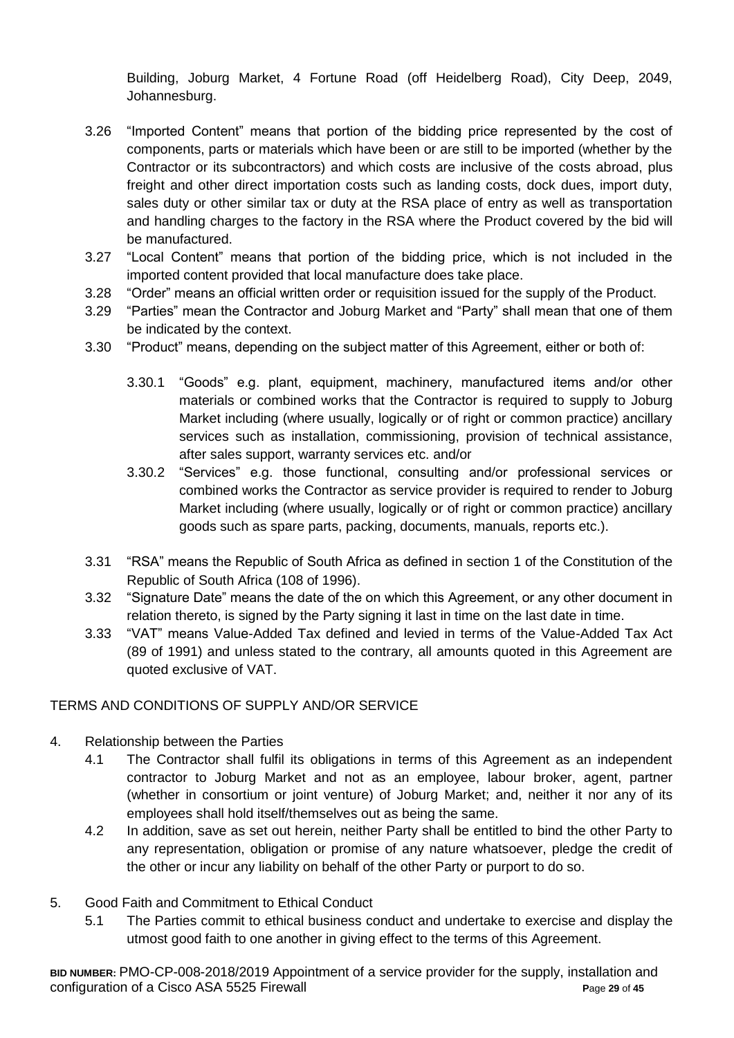Building, Joburg Market, 4 Fortune Road (off Heidelberg Road), City Deep, 2049, Johannesburg.

- 3.26 "Imported Content" means that portion of the bidding price represented by the cost of components, parts or materials which have been or are still to be imported (whether by the Contractor or its subcontractors) and which costs are inclusive of the costs abroad, plus freight and other direct importation costs such as landing costs, dock dues, import duty, sales duty or other similar tax or duty at the RSA place of entry as well as transportation and handling charges to the factory in the RSA where the Product covered by the bid will be manufactured.
- 3.27 "Local Content" means that portion of the bidding price, which is not included in the imported content provided that local manufacture does take place.
- 3.28 "Order" means an official written order or requisition issued for the supply of the Product.
- 3.29 "Parties" mean the Contractor and Joburg Market and "Party" shall mean that one of them be indicated by the context.
- 3.30 "Product" means, depending on the subject matter of this Agreement, either or both of:
	- 3.30.1 "Goods" e.g. plant, equipment, machinery, manufactured items and/or other materials or combined works that the Contractor is required to supply to Joburg Market including (where usually, logically or of right or common practice) ancillary services such as installation, commissioning, provision of technical assistance, after sales support, warranty services etc. and/or
	- 3.30.2 "Services" e.g. those functional, consulting and/or professional services or combined works the Contractor as service provider is required to render to Joburg Market including (where usually, logically or of right or common practice) ancillary goods such as spare parts, packing, documents, manuals, reports etc.).
- 3.31 "RSA" means the Republic of South Africa as defined in section 1 of the Constitution of the Republic of South Africa (108 of 1996).
- 3.32 "Signature Date" means the date of the on which this Agreement, or any other document in relation thereto, is signed by the Party signing it last in time on the last date in time.
- 3.33 "VAT" means Value-Added Tax defined and levied in terms of the Value-Added Tax Act (89 of 1991) and unless stated to the contrary, all amounts quoted in this Agreement are quoted exclusive of VAT.

## TERMS AND CONDITIONS OF SUPPLY AND/OR SERVICE

- 4. Relationship between the Parties
	- 4.1 The Contractor shall fulfil its obligations in terms of this Agreement as an independent contractor to Joburg Market and not as an employee, labour broker, agent, partner (whether in consortium or joint venture) of Joburg Market; and, neither it nor any of its employees shall hold itself/themselves out as being the same.
	- 4.2 In addition, save as set out herein, neither Party shall be entitled to bind the other Party to any representation, obligation or promise of any nature whatsoever, pledge the credit of the other or incur any liability on behalf of the other Party or purport to do so.
- 5. Good Faith and Commitment to Ethical Conduct
	- 5.1 The Parties commit to ethical business conduct and undertake to exercise and display the utmost good faith to one another in giving effect to the terms of this Agreement.

**BID NUMBER:** PMO-CP-008-2018/2019 Appointment of a service provider for the supply, installation and configuration of a Cisco ASA 5525 Firewall **P**age **29** of **45**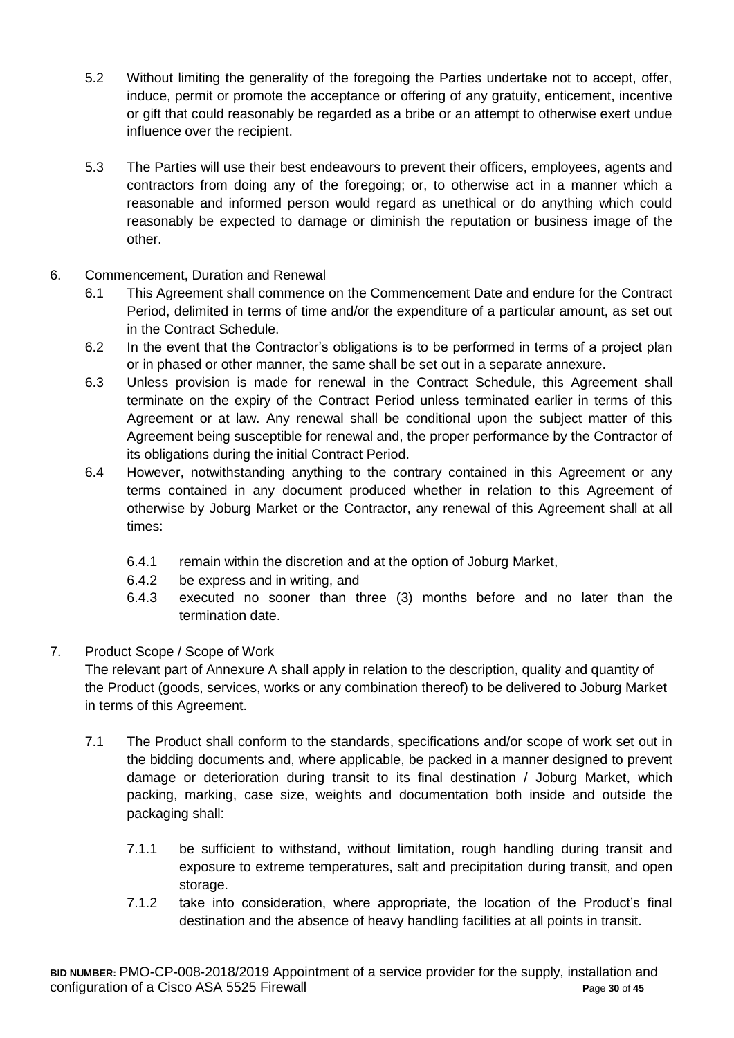- 5.2 Without limiting the generality of the foregoing the Parties undertake not to accept, offer, induce, permit or promote the acceptance or offering of any gratuity, enticement, incentive or gift that could reasonably be regarded as a bribe or an attempt to otherwise exert undue influence over the recipient.
- 5.3 The Parties will use their best endeavours to prevent their officers, employees, agents and contractors from doing any of the foregoing; or, to otherwise act in a manner which a reasonable and informed person would regard as unethical or do anything which could reasonably be expected to damage or diminish the reputation or business image of the other.
- 6. Commencement, Duration and Renewal
	- 6.1 This Agreement shall commence on the Commencement Date and endure for the Contract Period, delimited in terms of time and/or the expenditure of a particular amount, as set out in the Contract Schedule.
	- 6.2 In the event that the Contractor's obligations is to be performed in terms of a project plan or in phased or other manner, the same shall be set out in a separate annexure.
	- 6.3 Unless provision is made for renewal in the Contract Schedule, this Agreement shall terminate on the expiry of the Contract Period unless terminated earlier in terms of this Agreement or at law. Any renewal shall be conditional upon the subject matter of this Agreement being susceptible for renewal and, the proper performance by the Contractor of its obligations during the initial Contract Period.
	- 6.4 However, notwithstanding anything to the contrary contained in this Agreement or any terms contained in any document produced whether in relation to this Agreement of otherwise by Joburg Market or the Contractor, any renewal of this Agreement shall at all times:
		- 6.4.1 remain within the discretion and at the option of Joburg Market,
		- 6.4.2 be express and in writing, and
		- 6.4.3 executed no sooner than three (3) months before and no later than the termination date.

## 7. Product Scope / Scope of Work

The relevant part of Annexure A shall apply in relation to the description, quality and quantity of the Product (goods, services, works or any combination thereof) to be delivered to Joburg Market in terms of this Agreement.

- 7.1 The Product shall conform to the standards, specifications and/or scope of work set out in the bidding documents and, where applicable, be packed in a manner designed to prevent damage or deterioration during transit to its final destination / Joburg Market, which packing, marking, case size, weights and documentation both inside and outside the packaging shall:
	- 7.1.1 be sufficient to withstand, without limitation, rough handling during transit and exposure to extreme temperatures, salt and precipitation during transit, and open storage.
	- 7.1.2 take into consideration, where appropriate, the location of the Product's final destination and the absence of heavy handling facilities at all points in transit.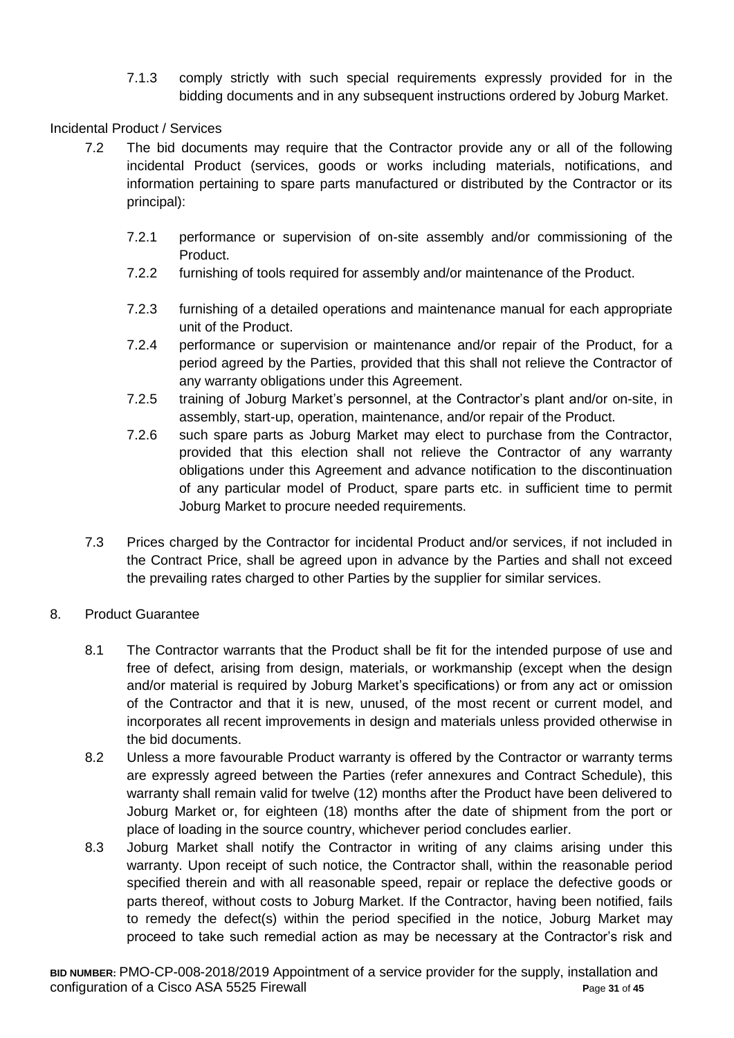7.1.3 comply strictly with such special requirements expressly provided for in the bidding documents and in any subsequent instructions ordered by Joburg Market.

## Incidental Product / Services

- 7.2 The bid documents may require that the Contractor provide any or all of the following incidental Product (services, goods or works including materials, notifications, and information pertaining to spare parts manufactured or distributed by the Contractor or its principal):
	- 7.2.1 performance or supervision of on-site assembly and/or commissioning of the Product.
	- 7.2.2 furnishing of tools required for assembly and/or maintenance of the Product.
	- 7.2.3 furnishing of a detailed operations and maintenance manual for each appropriate unit of the Product.
	- 7.2.4 performance or supervision or maintenance and/or repair of the Product, for a period agreed by the Parties, provided that this shall not relieve the Contractor of any warranty obligations under this Agreement.
	- 7.2.5 training of Joburg Market's personnel, at the Contractor's plant and/or on-site, in assembly, start-up, operation, maintenance, and/or repair of the Product.
	- 7.2.6 such spare parts as Joburg Market may elect to purchase from the Contractor, provided that this election shall not relieve the Contractor of any warranty obligations under this Agreement and advance notification to the discontinuation of any particular model of Product, spare parts etc. in sufficient time to permit Joburg Market to procure needed requirements.
- 7.3 Prices charged by the Contractor for incidental Product and/or services, if not included in the Contract Price, shall be agreed upon in advance by the Parties and shall not exceed the prevailing rates charged to other Parties by the supplier for similar services.

## 8. Product Guarantee

- 8.1 The Contractor warrants that the Product shall be fit for the intended purpose of use and free of defect, arising from design, materials, or workmanship (except when the design and/or material is required by Joburg Market's specifications) or from any act or omission of the Contractor and that it is new, unused, of the most recent or current model, and incorporates all recent improvements in design and materials unless provided otherwise in the bid documents.
- 8.2 Unless a more favourable Product warranty is offered by the Contractor or warranty terms are expressly agreed between the Parties (refer annexures and Contract Schedule), this warranty shall remain valid for twelve (12) months after the Product have been delivered to Joburg Market or, for eighteen (18) months after the date of shipment from the port or place of loading in the source country, whichever period concludes earlier.
- 8.3 Joburg Market shall notify the Contractor in writing of any claims arising under this warranty. Upon receipt of such notice, the Contractor shall, within the reasonable period specified therein and with all reasonable speed, repair or replace the defective goods or parts thereof, without costs to Joburg Market. If the Contractor, having been notified, fails to remedy the defect(s) within the period specified in the notice, Joburg Market may proceed to take such remedial action as may be necessary at the Contractor's risk and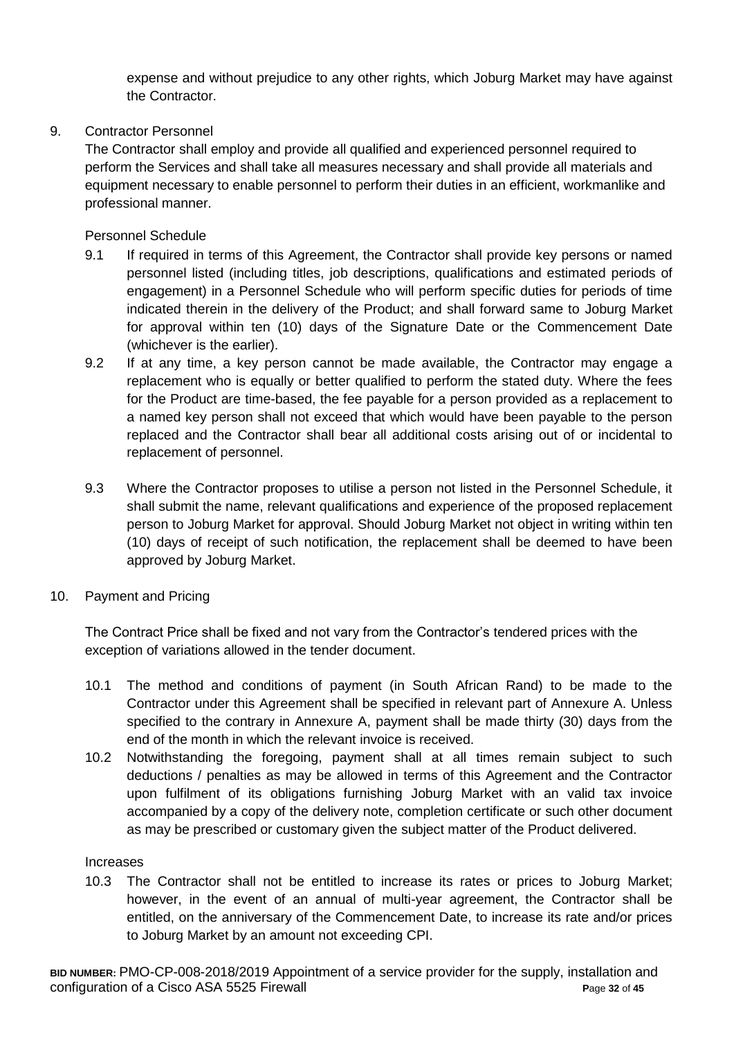expense and without prejudice to any other rights, which Joburg Market may have against the Contractor.

## 9. Contractor Personnel

The Contractor shall employ and provide all qualified and experienced personnel required to perform the Services and shall take all measures necessary and shall provide all materials and equipment necessary to enable personnel to perform their duties in an efficient, workmanlike and professional manner.

Personnel Schedule

- 9.1 If required in terms of this Agreement, the Contractor shall provide key persons or named personnel listed (including titles, job descriptions, qualifications and estimated periods of engagement) in a Personnel Schedule who will perform specific duties for periods of time indicated therein in the delivery of the Product; and shall forward same to Joburg Market for approval within ten (10) days of the Signature Date or the Commencement Date (whichever is the earlier).
- 9.2 If at any time, a key person cannot be made available, the Contractor may engage a replacement who is equally or better qualified to perform the stated duty. Where the fees for the Product are time-based, the fee payable for a person provided as a replacement to a named key person shall not exceed that which would have been payable to the person replaced and the Contractor shall bear all additional costs arising out of or incidental to replacement of personnel.
- 9.3 Where the Contractor proposes to utilise a person not listed in the Personnel Schedule, it shall submit the name, relevant qualifications and experience of the proposed replacement person to Joburg Market for approval. Should Joburg Market not object in writing within ten (10) days of receipt of such notification, the replacement shall be deemed to have been approved by Joburg Market.
- 10. Payment and Pricing

The Contract Price shall be fixed and not vary from the Contractor's tendered prices with the exception of variations allowed in the tender document.

- 10.1 The method and conditions of payment (in South African Rand) to be made to the Contractor under this Agreement shall be specified in relevant part of Annexure A. Unless specified to the contrary in Annexure A, payment shall be made thirty (30) days from the end of the month in which the relevant invoice is received.
- 10.2 Notwithstanding the foregoing, payment shall at all times remain subject to such deductions / penalties as may be allowed in terms of this Agreement and the Contractor upon fulfilment of its obligations furnishing Joburg Market with an valid tax invoice accompanied by a copy of the delivery note, completion certificate or such other document as may be prescribed or customary given the subject matter of the Product delivered.

## **Increases**

10.3 The Contractor shall not be entitled to increase its rates or prices to Joburg Market; however, in the event of an annual of multi-year agreement, the Contractor shall be entitled, on the anniversary of the Commencement Date, to increase its rate and/or prices to Joburg Market by an amount not exceeding CPI.

**BID NUMBER:** PMO-CP-008-2018/2019 Appointment of a service provider for the supply, installation and configuration of a Cisco ASA 5525 Firewall **P**age **32** of **45**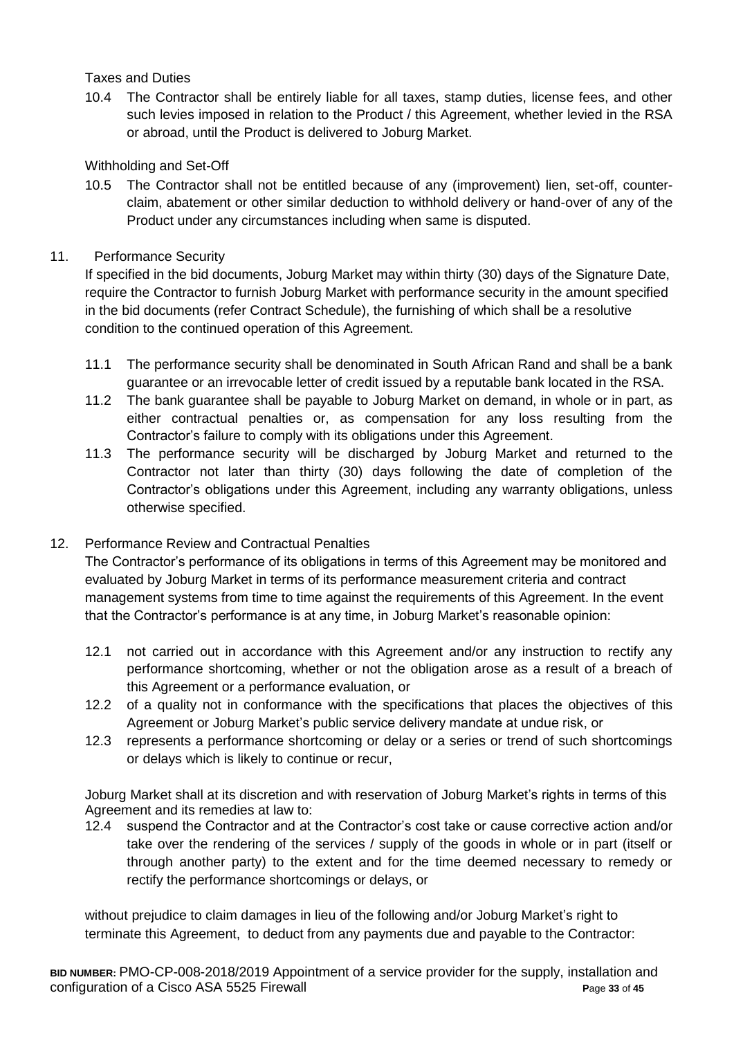## Taxes and Duties

10.4 The Contractor shall be entirely liable for all taxes, stamp duties, license fees, and other such levies imposed in relation to the Product / this Agreement, whether levied in the RSA or abroad, until the Product is delivered to Joburg Market.

## Withholding and Set-Off

10.5 The Contractor shall not be entitled because of any (improvement) lien, set-off, counterclaim, abatement or other similar deduction to withhold delivery or hand-over of any of the Product under any circumstances including when same is disputed.

## 11. Performance Security

If specified in the bid documents, Joburg Market may within thirty (30) days of the Signature Date, require the Contractor to furnish Joburg Market with performance security in the amount specified in the bid documents (refer Contract Schedule), the furnishing of which shall be a resolutive condition to the continued operation of this Agreement.

- 11.1 The performance security shall be denominated in South African Rand and shall be a bank guarantee or an irrevocable letter of credit issued by a reputable bank located in the RSA.
- 11.2 The bank guarantee shall be payable to Joburg Market on demand, in whole or in part, as either contractual penalties or, as compensation for any loss resulting from the Contractor's failure to comply with its obligations under this Agreement.
- 11.3 The performance security will be discharged by Joburg Market and returned to the Contractor not later than thirty (30) days following the date of completion of the Contractor's obligations under this Agreement, including any warranty obligations, unless otherwise specified.

## 12. Performance Review and Contractual Penalties

The Contractor's performance of its obligations in terms of this Agreement may be monitored and evaluated by Joburg Market in terms of its performance measurement criteria and contract management systems from time to time against the requirements of this Agreement. In the event that the Contractor's performance is at any time, in Joburg Market's reasonable opinion:

- 12.1 not carried out in accordance with this Agreement and/or any instruction to rectify any performance shortcoming, whether or not the obligation arose as a result of a breach of this Agreement or a performance evaluation, or
- 12.2 of a quality not in conformance with the specifications that places the objectives of this Agreement or Joburg Market's public service delivery mandate at undue risk, or
- 12.3 represents a performance shortcoming or delay or a series or trend of such shortcomings or delays which is likely to continue or recur,

Joburg Market shall at its discretion and with reservation of Joburg Market's rights in terms of this Agreement and its remedies at law to:

12.4 suspend the Contractor and at the Contractor's cost take or cause corrective action and/or take over the rendering of the services / supply of the goods in whole or in part (itself or through another party) to the extent and for the time deemed necessary to remedy or rectify the performance shortcomings or delays, or

without prejudice to claim damages in lieu of the following and/or Joburg Market's right to terminate this Agreement, to deduct from any payments due and payable to the Contractor: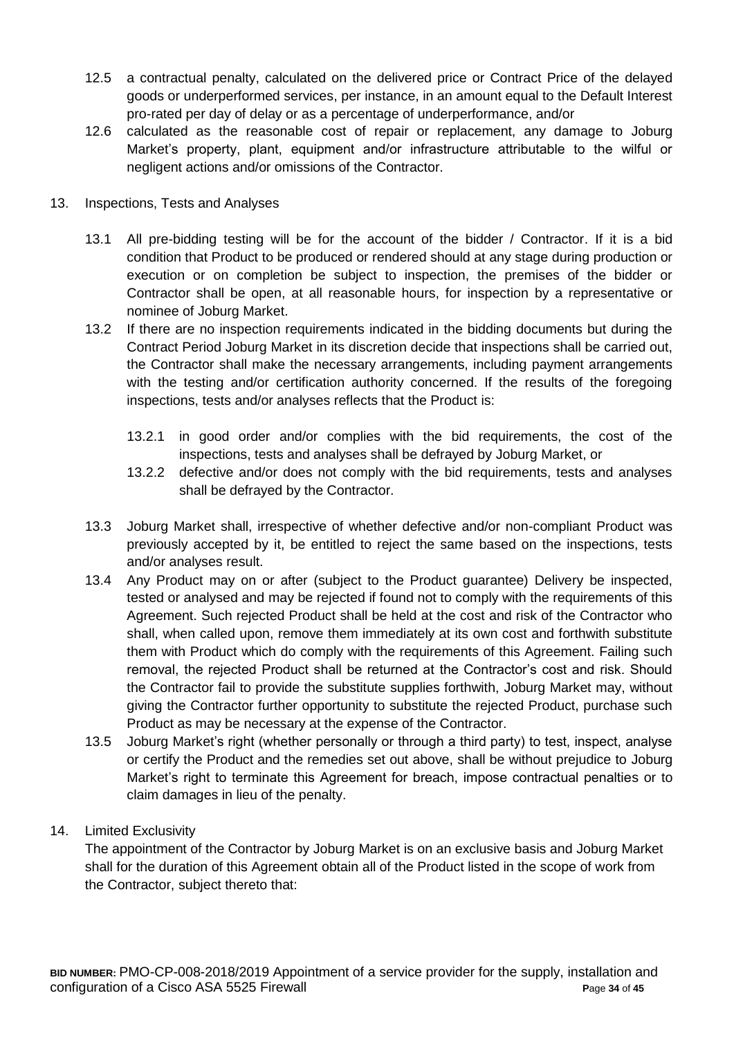- 12.5 a contractual penalty, calculated on the delivered price or Contract Price of the delayed goods or underperformed services, per instance, in an amount equal to the Default Interest pro-rated per day of delay or as a percentage of underperformance, and/or
- 12.6 calculated as the reasonable cost of repair or replacement, any damage to Joburg Market's property, plant, equipment and/or infrastructure attributable to the wilful or negligent actions and/or omissions of the Contractor.
- 13. Inspections, Tests and Analyses
	- 13.1 All pre-bidding testing will be for the account of the bidder / Contractor. If it is a bid condition that Product to be produced or rendered should at any stage during production or execution or on completion be subject to inspection, the premises of the bidder or Contractor shall be open, at all reasonable hours, for inspection by a representative or nominee of Joburg Market.
	- 13.2 If there are no inspection requirements indicated in the bidding documents but during the Contract Period Joburg Market in its discretion decide that inspections shall be carried out, the Contractor shall make the necessary arrangements, including payment arrangements with the testing and/or certification authority concerned. If the results of the foregoing inspections, tests and/or analyses reflects that the Product is:
		- 13.2.1 in good order and/or complies with the bid requirements, the cost of the inspections, tests and analyses shall be defrayed by Joburg Market, or
		- 13.2.2 defective and/or does not comply with the bid requirements, tests and analyses shall be defrayed by the Contractor.
	- 13.3 Joburg Market shall, irrespective of whether defective and/or non-compliant Product was previously accepted by it, be entitled to reject the same based on the inspections, tests and/or analyses result.
	- 13.4 Any Product may on or after (subject to the Product guarantee) Delivery be inspected, tested or analysed and may be rejected if found not to comply with the requirements of this Agreement. Such rejected Product shall be held at the cost and risk of the Contractor who shall, when called upon, remove them immediately at its own cost and forthwith substitute them with Product which do comply with the requirements of this Agreement. Failing such removal, the rejected Product shall be returned at the Contractor's cost and risk. Should the Contractor fail to provide the substitute supplies forthwith, Joburg Market may, without giving the Contractor further opportunity to substitute the rejected Product, purchase such Product as may be necessary at the expense of the Contractor.
	- 13.5 Joburg Market's right (whether personally or through a third party) to test, inspect, analyse or certify the Product and the remedies set out above, shall be without prejudice to Joburg Market's right to terminate this Agreement for breach, impose contractual penalties or to claim damages in lieu of the penalty.
- 14. Limited Exclusivity

The appointment of the Contractor by Joburg Market is on an exclusive basis and Joburg Market shall for the duration of this Agreement obtain all of the Product listed in the scope of work from the Contractor, subject thereto that: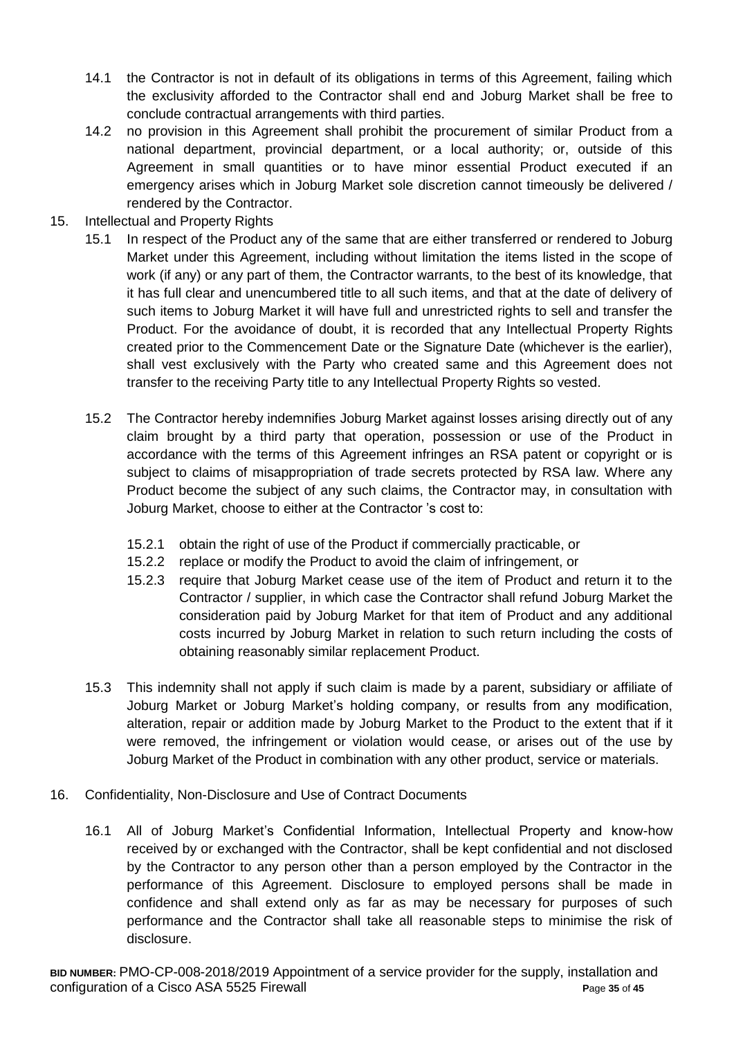- 14.1 the Contractor is not in default of its obligations in terms of this Agreement, failing which the exclusivity afforded to the Contractor shall end and Joburg Market shall be free to conclude contractual arrangements with third parties.
- 14.2 no provision in this Agreement shall prohibit the procurement of similar Product from a national department, provincial department, or a local authority; or, outside of this Agreement in small quantities or to have minor essential Product executed if an emergency arises which in Joburg Market sole discretion cannot timeously be delivered / rendered by the Contractor.
- 15. Intellectual and Property Rights
	- 15.1 In respect of the Product any of the same that are either transferred or rendered to Joburg Market under this Agreement, including without limitation the items listed in the scope of work (if any) or any part of them, the Contractor warrants, to the best of its knowledge, that it has full clear and unencumbered title to all such items, and that at the date of delivery of such items to Joburg Market it will have full and unrestricted rights to sell and transfer the Product. For the avoidance of doubt, it is recorded that any Intellectual Property Rights created prior to the Commencement Date or the Signature Date (whichever is the earlier), shall vest exclusively with the Party who created same and this Agreement does not transfer to the receiving Party title to any Intellectual Property Rights so vested.
	- 15.2 The Contractor hereby indemnifies Joburg Market against losses arising directly out of any claim brought by a third party that operation, possession or use of the Product in accordance with the terms of this Agreement infringes an RSA patent or copyright or is subject to claims of misappropriation of trade secrets protected by RSA law. Where any Product become the subject of any such claims, the Contractor may, in consultation with Joburg Market, choose to either at the Contractor 's cost to:
		- 15.2.1 obtain the right of use of the Product if commercially practicable, or
		- 15.2.2 replace or modify the Product to avoid the claim of infringement, or
		- 15.2.3 require that Joburg Market cease use of the item of Product and return it to the Contractor / supplier, in which case the Contractor shall refund Joburg Market the consideration paid by Joburg Market for that item of Product and any additional costs incurred by Joburg Market in relation to such return including the costs of obtaining reasonably similar replacement Product.
	- 15.3 This indemnity shall not apply if such claim is made by a parent, subsidiary or affiliate of Joburg Market or Joburg Market's holding company, or results from any modification, alteration, repair or addition made by Joburg Market to the Product to the extent that if it were removed, the infringement or violation would cease, or arises out of the use by Joburg Market of the Product in combination with any other product, service or materials.
- 16. Confidentiality, Non-Disclosure and Use of Contract Documents
	- 16.1 All of Joburg Market's Confidential Information, Intellectual Property and know-how received by or exchanged with the Contractor, shall be kept confidential and not disclosed by the Contractor to any person other than a person employed by the Contractor in the performance of this Agreement. Disclosure to employed persons shall be made in confidence and shall extend only as far as may be necessary for purposes of such performance and the Contractor shall take all reasonable steps to minimise the risk of disclosure.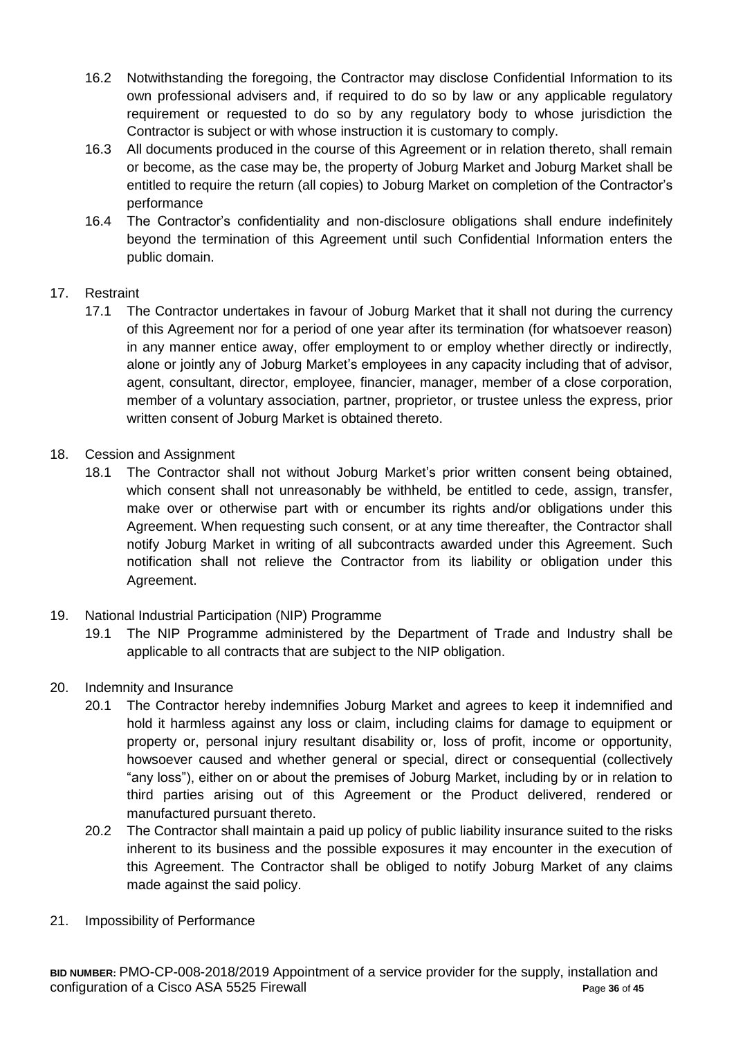- 16.2 Notwithstanding the foregoing, the Contractor may disclose Confidential Information to its own professional advisers and, if required to do so by law or any applicable regulatory requirement or requested to do so by any regulatory body to whose jurisdiction the Contractor is subject or with whose instruction it is customary to comply.
- 16.3 All documents produced in the course of this Agreement or in relation thereto, shall remain or become, as the case may be, the property of Joburg Market and Joburg Market shall be entitled to require the return (all copies) to Joburg Market on completion of the Contractor's performance
- 16.4 The Contractor's confidentiality and non-disclosure obligations shall endure indefinitely beyond the termination of this Agreement until such Confidential Information enters the public domain.

## 17. Restraint

- 17.1 The Contractor undertakes in favour of Joburg Market that it shall not during the currency of this Agreement nor for a period of one year after its termination (for whatsoever reason) in any manner entice away, offer employment to or employ whether directly or indirectly, alone or jointly any of Joburg Market's employees in any capacity including that of advisor, agent, consultant, director, employee, financier, manager, member of a close corporation, member of a voluntary association, partner, proprietor, or trustee unless the express, prior written consent of Joburg Market is obtained thereto.
- 18. Cession and Assignment
	- 18.1 The Contractor shall not without Joburg Market's prior written consent being obtained, which consent shall not unreasonably be withheld, be entitled to cede, assign, transfer, make over or otherwise part with or encumber its rights and/or obligations under this Agreement. When requesting such consent, or at any time thereafter, the Contractor shall notify Joburg Market in writing of all subcontracts awarded under this Agreement. Such notification shall not relieve the Contractor from its liability or obligation under this Agreement.
- 19. National Industrial Participation (NIP) Programme
	- 19.1 The NIP Programme administered by the Department of Trade and Industry shall be applicable to all contracts that are subject to the NIP obligation.
- 20. Indemnity and Insurance
	- 20.1 The Contractor hereby indemnifies Joburg Market and agrees to keep it indemnified and hold it harmless against any loss or claim, including claims for damage to equipment or property or, personal injury resultant disability or, loss of profit, income or opportunity, howsoever caused and whether general or special, direct or consequential (collectively "any loss"), either on or about the premises of Joburg Market, including by or in relation to third parties arising out of this Agreement or the Product delivered, rendered or manufactured pursuant thereto.
	- 20.2 The Contractor shall maintain a paid up policy of public liability insurance suited to the risks inherent to its business and the possible exposures it may encounter in the execution of this Agreement. The Contractor shall be obliged to notify Joburg Market of any claims made against the said policy.
- 21. Impossibility of Performance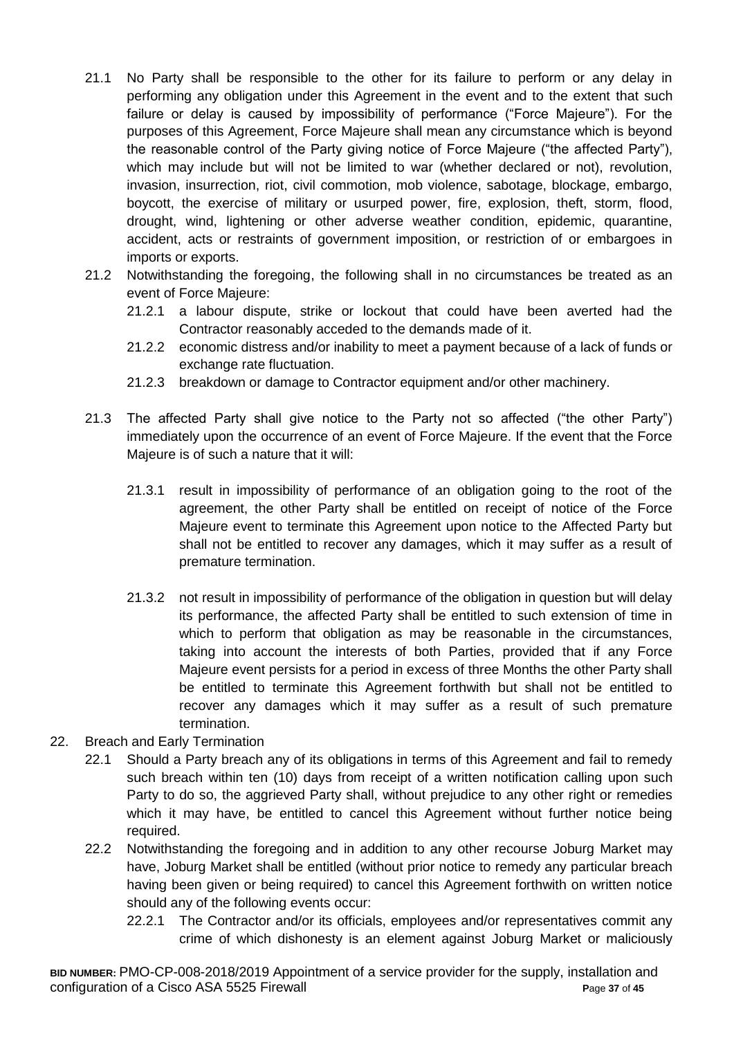- 21.1 No Party shall be responsible to the other for its failure to perform or any delay in performing any obligation under this Agreement in the event and to the extent that such failure or delay is caused by impossibility of performance ("Force Majeure"). For the purposes of this Agreement, Force Majeure shall mean any circumstance which is beyond the reasonable control of the Party giving notice of Force Majeure ("the affected Party"), which may include but will not be limited to war (whether declared or not), revolution, invasion, insurrection, riot, civil commotion, mob violence, sabotage, blockage, embargo, boycott, the exercise of military or usurped power, fire, explosion, theft, storm, flood, drought, wind, lightening or other adverse weather condition, epidemic, quarantine, accident, acts or restraints of government imposition, or restriction of or embargoes in imports or exports.
- 21.2 Notwithstanding the foregoing, the following shall in no circumstances be treated as an event of Force Majeure:
	- 21.2.1 a labour dispute, strike or lockout that could have been averted had the Contractor reasonably acceded to the demands made of it.
	- 21.2.2 economic distress and/or inability to meet a payment because of a lack of funds or exchange rate fluctuation.
	- 21.2.3 breakdown or damage to Contractor equipment and/or other machinery.
- 21.3 The affected Party shall give notice to the Party not so affected ("the other Party") immediately upon the occurrence of an event of Force Majeure. If the event that the Force Majeure is of such a nature that it will:
	- 21.3.1 result in impossibility of performance of an obligation going to the root of the agreement, the other Party shall be entitled on receipt of notice of the Force Majeure event to terminate this Agreement upon notice to the Affected Party but shall not be entitled to recover any damages, which it may suffer as a result of premature termination.
	- 21.3.2 not result in impossibility of performance of the obligation in question but will delay its performance, the affected Party shall be entitled to such extension of time in which to perform that obligation as may be reasonable in the circumstances, taking into account the interests of both Parties, provided that if any Force Majeure event persists for a period in excess of three Months the other Party shall be entitled to terminate this Agreement forthwith but shall not be entitled to recover any damages which it may suffer as a result of such premature termination.
- 22. Breach and Early Termination
	- 22.1 Should a Party breach any of its obligations in terms of this Agreement and fail to remedy such breach within ten (10) days from receipt of a written notification calling upon such Party to do so, the aggrieved Party shall, without prejudice to any other right or remedies which it may have, be entitled to cancel this Agreement without further notice being required.
	- 22.2 Notwithstanding the foregoing and in addition to any other recourse Joburg Market may have, Joburg Market shall be entitled (without prior notice to remedy any particular breach having been given or being required) to cancel this Agreement forthwith on written notice should any of the following events occur:
		- 22.2.1 The Contractor and/or its officials, employees and/or representatives commit any crime of which dishonesty is an element against Joburg Market or maliciously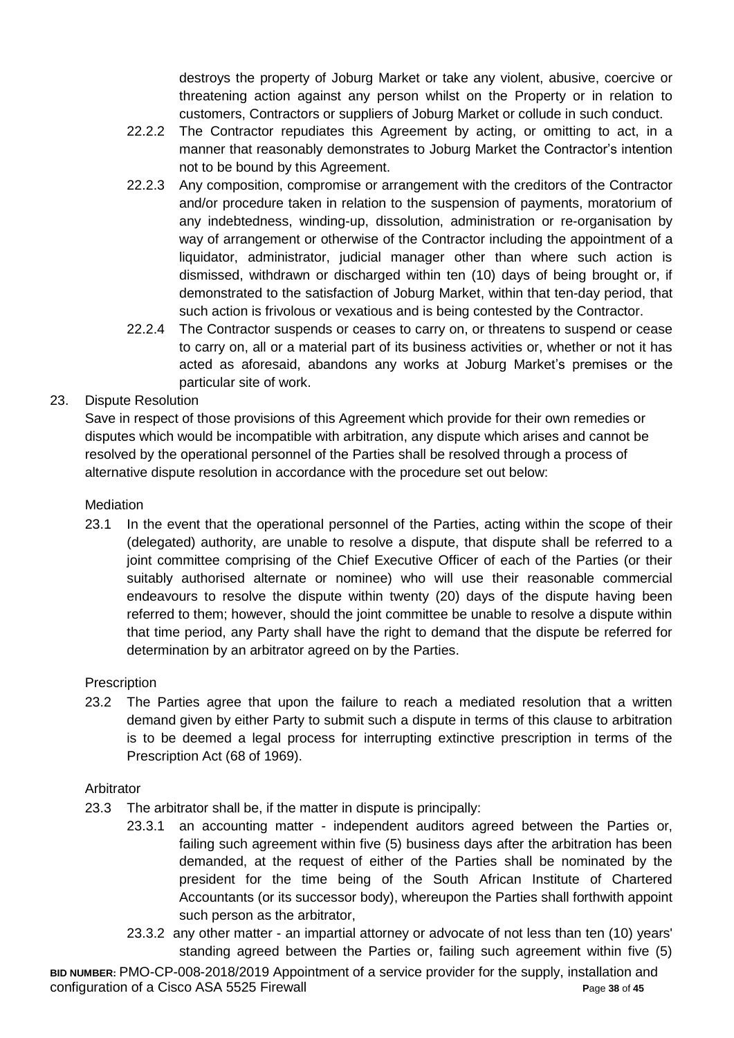destroys the property of Joburg Market or take any violent, abusive, coercive or threatening action against any person whilst on the Property or in relation to customers, Contractors or suppliers of Joburg Market or collude in such conduct.

- 22.2.2 The Contractor repudiates this Agreement by acting, or omitting to act, in a manner that reasonably demonstrates to Joburg Market the Contractor's intention not to be bound by this Agreement.
- 22.2.3 Any composition, compromise or arrangement with the creditors of the Contractor and/or procedure taken in relation to the suspension of payments, moratorium of any indebtedness, winding-up, dissolution, administration or re-organisation by way of arrangement or otherwise of the Contractor including the appointment of a liquidator, administrator, judicial manager other than where such action is dismissed, withdrawn or discharged within ten (10) days of being brought or, if demonstrated to the satisfaction of Joburg Market, within that ten-day period, that such action is frivolous or vexatious and is being contested by the Contractor.
- 22.2.4 The Contractor suspends or ceases to carry on, or threatens to suspend or cease to carry on, all or a material part of its business activities or, whether or not it has acted as aforesaid, abandons any works at Joburg Market's premises or the particular site of work.

23. Dispute Resolution

Save in respect of those provisions of this Agreement which provide for their own remedies or disputes which would be incompatible with arbitration, any dispute which arises and cannot be resolved by the operational personnel of the Parties shall be resolved through a process of alternative dispute resolution in accordance with the procedure set out below:

**Mediation** 

23.1 In the event that the operational personnel of the Parties, acting within the scope of their (delegated) authority, are unable to resolve a dispute, that dispute shall be referred to a joint committee comprising of the Chief Executive Officer of each of the Parties (or their suitably authorised alternate or nominee) who will use their reasonable commercial endeavours to resolve the dispute within twenty (20) days of the dispute having been referred to them; however, should the joint committee be unable to resolve a dispute within that time period, any Party shall have the right to demand that the dispute be referred for determination by an arbitrator agreed on by the Parties.

## **Prescription**

23.2 The Parties agree that upon the failure to reach a mediated resolution that a written demand given by either Party to submit such a dispute in terms of this clause to arbitration is to be deemed a legal process for interrupting extinctive prescription in terms of the Prescription Act (68 of 1969).

## Arbitrator

- 23.3 The arbitrator shall be, if the matter in dispute is principally:
	- 23.3.1 an accounting matter independent auditors agreed between the Parties or, failing such agreement within five (5) business days after the arbitration has been demanded, at the request of either of the Parties shall be nominated by the president for the time being of the South African Institute of Chartered Accountants (or its successor body), whereupon the Parties shall forthwith appoint such person as the arbitrator,
	- 23.3.2 any other matter an impartial attorney or advocate of not less than ten (10) years' standing agreed between the Parties or, failing such agreement within five (5)

**BID NUMBER:** PMO-CP-008-2018/2019 Appointment of a service provider for the supply, installation and configuration of a Cisco ASA 5525 Firewall **P**age **38** of **45**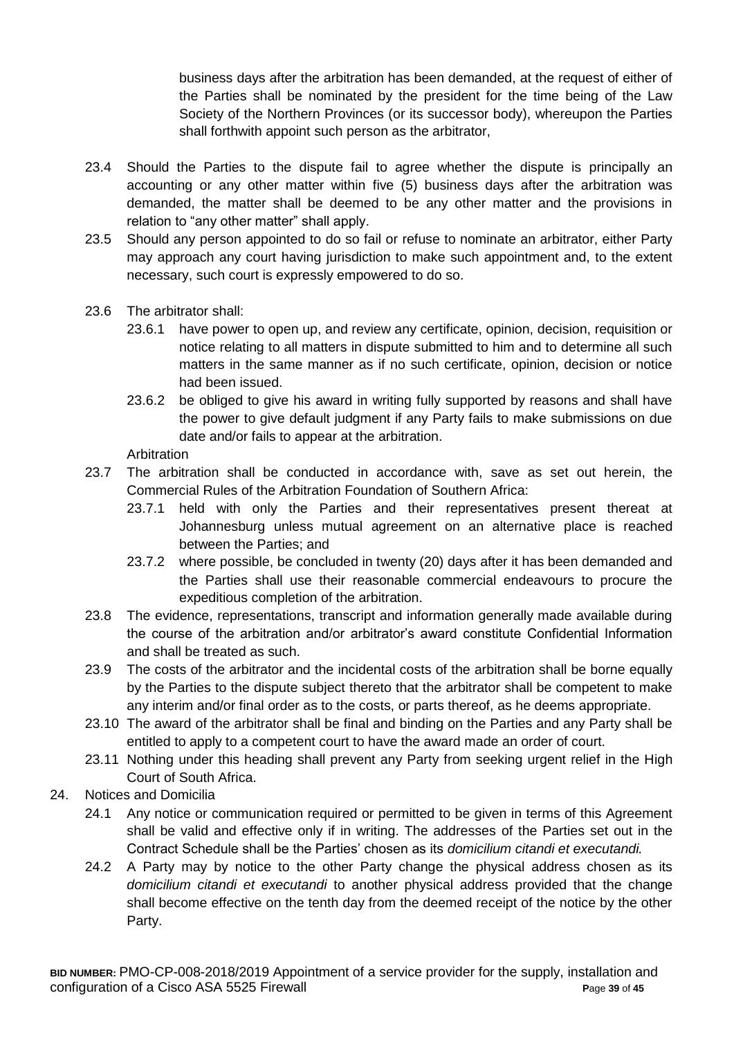business days after the arbitration has been demanded, at the request of either of the Parties shall be nominated by the president for the time being of the Law Society of the Northern Provinces (or its successor body), whereupon the Parties shall forthwith appoint such person as the arbitrator,

- 23.4 Should the Parties to the dispute fail to agree whether the dispute is principally an accounting or any other matter within five (5) business days after the arbitration was demanded, the matter shall be deemed to be any other matter and the provisions in relation to "any other matter" shall apply.
- 23.5 Should any person appointed to do so fail or refuse to nominate an arbitrator, either Party may approach any court having jurisdiction to make such appointment and, to the extent necessary, such court is expressly empowered to do so.
- 23.6 The arbitrator shall:
	- 23.6.1 have power to open up, and review any certificate, opinion, decision, requisition or notice relating to all matters in dispute submitted to him and to determine all such matters in the same manner as if no such certificate, opinion, decision or notice had been issued.
	- 23.6.2 be obliged to give his award in writing fully supported by reasons and shall have the power to give default judgment if any Party fails to make submissions on due date and/or fails to appear at the arbitration.

**Arbitration** 

- 23.7 The arbitration shall be conducted in accordance with, save as set out herein, the Commercial Rules of the Arbitration Foundation of Southern Africa:
	- 23.7.1 held with only the Parties and their representatives present thereat at Johannesburg unless mutual agreement on an alternative place is reached between the Parties; and
	- 23.7.2 where possible, be concluded in twenty (20) days after it has been demanded and the Parties shall use their reasonable commercial endeavours to procure the expeditious completion of the arbitration.
- 23.8 The evidence, representations, transcript and information generally made available during the course of the arbitration and/or arbitrator's award constitute Confidential Information and shall be treated as such.
- 23.9 The costs of the arbitrator and the incidental costs of the arbitration shall be borne equally by the Parties to the dispute subject thereto that the arbitrator shall be competent to make any interim and/or final order as to the costs, or parts thereof, as he deems appropriate.
- 23.10 The award of the arbitrator shall be final and binding on the Parties and any Party shall be entitled to apply to a competent court to have the award made an order of court.
- 23.11 Nothing under this heading shall prevent any Party from seeking urgent relief in the High Court of South Africa.
- 24. Notices and Domicilia
	- 24.1 Any notice or communication required or permitted to be given in terms of this Agreement shall be valid and effective only if in writing. The addresses of the Parties set out in the Contract Schedule shall be the Parties' chosen as its *domicilium citandi et executandi.*
	- 24.2 A Party may by notice to the other Party change the physical address chosen as its *domicilium citandi et executandi* to another physical address provided that the change shall become effective on the tenth day from the deemed receipt of the notice by the other Party.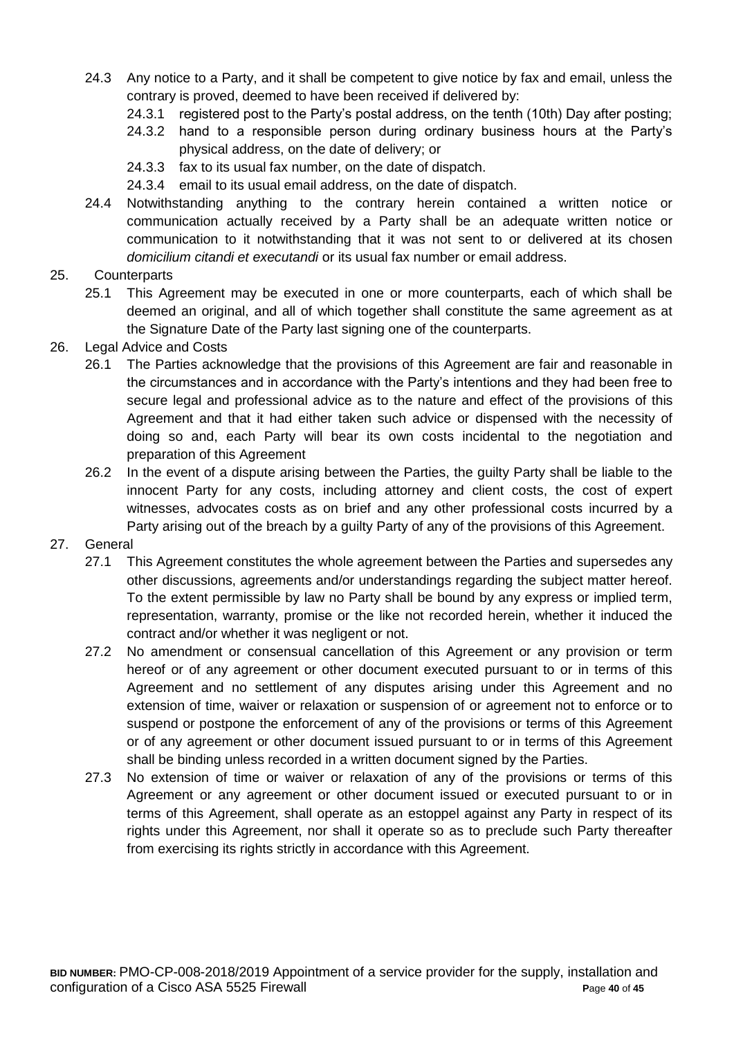- 24.3 Any notice to a Party, and it shall be competent to give notice by fax and email, unless the contrary is proved, deemed to have been received if delivered by:
	- 24.3.1 registered post to the Party's postal address, on the tenth (10th) Day after posting;
	- 24.3.2 hand to a responsible person during ordinary business hours at the Party's physical address, on the date of delivery; or
	- 24.3.3 fax to its usual fax number, on the date of dispatch.
	- 24.3.4 email to its usual email address, on the date of dispatch.
- 24.4 Notwithstanding anything to the contrary herein contained a written notice or communication actually received by a Party shall be an adequate written notice or communication to it notwithstanding that it was not sent to or delivered at its chosen *domicilium citandi et executandi* or its usual fax number or email address.
- 25. Counterparts
	- 25.1 This Agreement may be executed in one or more counterparts, each of which shall be deemed an original, and all of which together shall constitute the same agreement as at the Signature Date of the Party last signing one of the counterparts.
- 26. Legal Advice and Costs
	- 26.1 The Parties acknowledge that the provisions of this Agreement are fair and reasonable in the circumstances and in accordance with the Party's intentions and they had been free to secure legal and professional advice as to the nature and effect of the provisions of this Agreement and that it had either taken such advice or dispensed with the necessity of doing so and, each Party will bear its own costs incidental to the negotiation and preparation of this Agreement
	- 26.2 In the event of a dispute arising between the Parties, the guilty Party shall be liable to the innocent Party for any costs, including attorney and client costs, the cost of expert witnesses, advocates costs as on brief and any other professional costs incurred by a Party arising out of the breach by a quilty Party of any of the provisions of this Agreement.
- 27. General
	- 27.1 This Agreement constitutes the whole agreement between the Parties and supersedes any other discussions, agreements and/or understandings regarding the subject matter hereof. To the extent permissible by law no Party shall be bound by any express or implied term, representation, warranty, promise or the like not recorded herein, whether it induced the contract and/or whether it was negligent or not.
	- 27.2 No amendment or consensual cancellation of this Agreement or any provision or term hereof or of any agreement or other document executed pursuant to or in terms of this Agreement and no settlement of any disputes arising under this Agreement and no extension of time, waiver or relaxation or suspension of or agreement not to enforce or to suspend or postpone the enforcement of any of the provisions or terms of this Agreement or of any agreement or other document issued pursuant to or in terms of this Agreement shall be binding unless recorded in a written document signed by the Parties.
	- 27.3 No extension of time or waiver or relaxation of any of the provisions or terms of this Agreement or any agreement or other document issued or executed pursuant to or in terms of this Agreement, shall operate as an estoppel against any Party in respect of its rights under this Agreement, nor shall it operate so as to preclude such Party thereafter from exercising its rights strictly in accordance with this Agreement.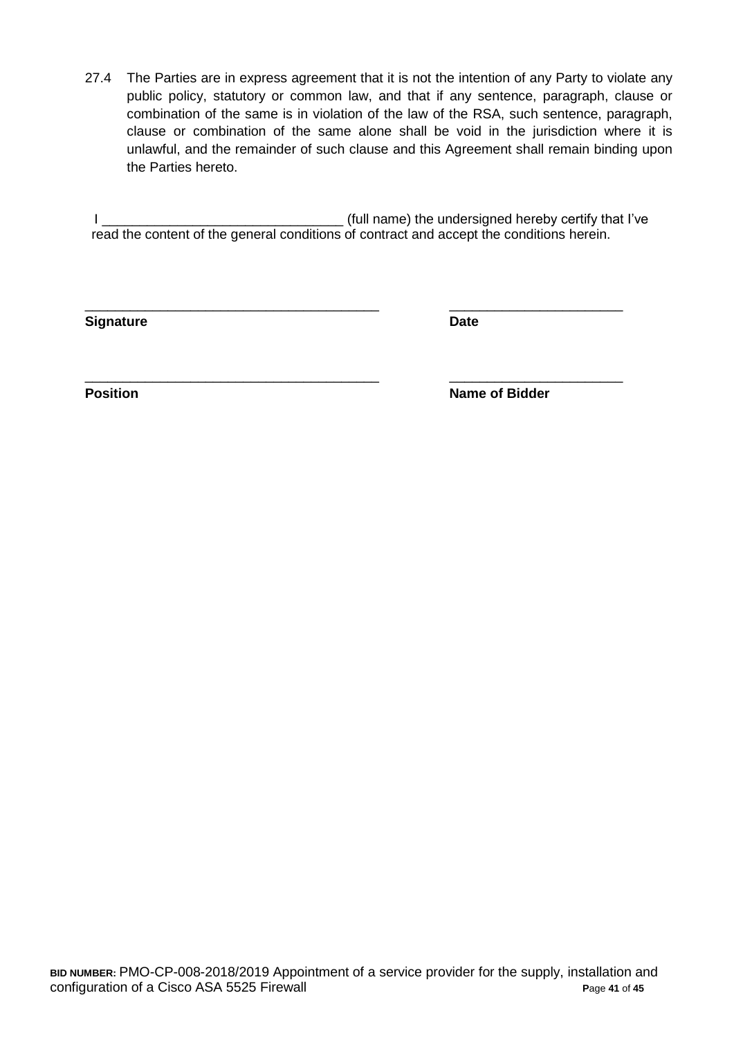27.4 The Parties are in express agreement that it is not the intention of any Party to violate any public policy, statutory or common law, and that if any sentence, paragraph, clause or combination of the same is in violation of the law of the RSA, such sentence, paragraph, clause or combination of the same alone shall be void in the jurisdiction where it is unlawful, and the remainder of such clause and this Agreement shall remain binding upon the Parties hereto.

I \_\_\_\_\_\_\_\_\_\_\_\_\_\_\_\_\_\_\_\_\_\_\_\_\_\_\_\_\_\_\_\_ (full name) the undersigned hereby certify that I've read the content of the general conditions of contract and accept the conditions herein.

\_\_\_\_\_\_\_\_\_\_\_\_\_\_\_\_\_\_\_\_\_\_\_\_\_\_\_\_\_\_\_\_\_\_\_\_\_\_\_ \_\_\_\_\_\_\_\_\_\_\_\_\_\_\_\_\_\_\_\_\_\_\_

\_\_\_\_\_\_\_\_\_\_\_\_\_\_\_\_\_\_\_\_\_\_\_\_\_\_\_\_\_\_\_\_\_\_\_\_\_\_\_ \_\_\_\_\_\_\_\_\_\_\_\_\_\_\_\_\_\_\_\_\_\_\_

**Signature Date**

**Position Position Name of Bidder**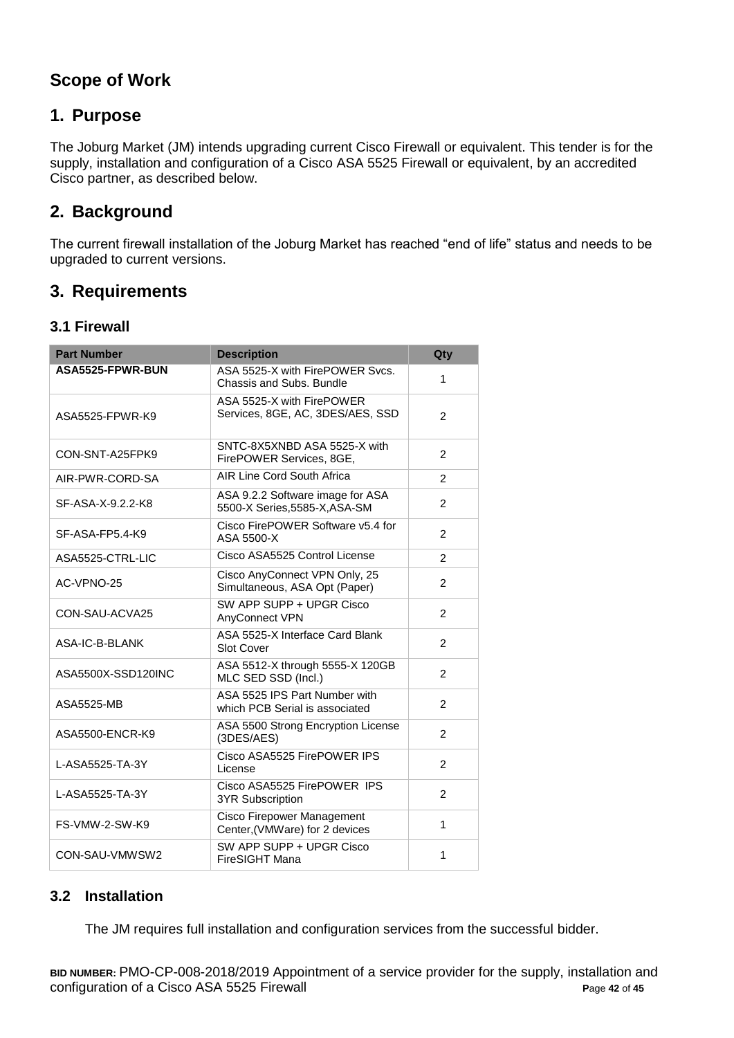# **Scope of Work**

# **1. Purpose**

The Joburg Market (JM) intends upgrading current Cisco Firewall or equivalent. This tender is for the supply, installation and configuration of a Cisco ASA 5525 Firewall or equivalent, by an accredited Cisco partner, as described below.

# **2. Background**

The current firewall installation of the Joburg Market has reached "end of life" status and needs to be upgraded to current versions.

# **3. Requirements**

# **3.1 Firewall**

| <b>Part Number</b> | <b>Description</b>                                                | Qty            |
|--------------------|-------------------------------------------------------------------|----------------|
| ASA5525-FPWR-BUN   | ASA 5525-X with FirePOWER Svcs.<br>Chassis and Subs, Bundle       | 1              |
| ASA5525-FPWR-K9    | ASA 5525-X with FirePOWER<br>Services, 8GE, AC, 3DES/AES, SSD     | 2              |
| CON-SNT-A25FPK9    | SNTC-8X5XNBD ASA 5525-X with<br>FirePOWER Services, 8GE,          | 2              |
| AIR-PWR-CORD-SA    | AIR Line Cord South Africa                                        | $\overline{2}$ |
| SF-ASA-X-9.2.2-K8  | ASA 9.2.2 Software image for ASA<br>5500-X Series, 5585-X, ASA-SM | 2              |
| SF-ASA-FP5.4-K9    | Cisco FirePOWER Software v5.4 for<br>ASA 5500-X                   | $\overline{2}$ |
| ASA5525-CTRL-LIC   | Cisco ASA5525 Control License                                     | $\overline{2}$ |
| AC-VPNO-25         | Cisco AnyConnect VPN Only, 25<br>Simultaneous, ASA Opt (Paper)    | 2              |
| CON-SAU-ACVA25     | SW APP SUPP + UPGR Cisco<br>AnyConnect VPN                        | $\overline{2}$ |
| ASA-IC-B-BLANK     | ASA 5525-X Interface Card Blank<br><b>Slot Cover</b>              | $\mathfrak{p}$ |
| ASA5500X-SSD120INC | ASA 5512-X through 5555-X 120GB<br>MLC SED SSD (Incl.)            | $\mathcal{P}$  |
| ASA5525-MB         | ASA 5525 IPS Part Number with<br>which PCB Serial is associated   | 2              |
| ASA5500-ENCR-K9    | ASA 5500 Strong Encryption License<br>(3DES/AES)                  | $\overline{2}$ |
| L-ASA5525-TA-3Y    | Cisco ASA5525 FirePOWER IPS<br>License                            | $\overline{2}$ |
| L-ASA5525-TA-3Y    | Cisco ASA5525 FirePOWER IPS<br><b>3YR Subscription</b>            | 2              |
| FS-VMW-2-SW-K9     | Cisco Firepower Management<br>Center, (VMWare) for 2 devices      | 1              |
| CON-SAU-VMWSW2     | SW APP SUPP + UPGR Cisco<br>FireSIGHT Mana                        | 1              |

## **3.2 Installation**

The JM requires full installation and configuration services from the successful bidder.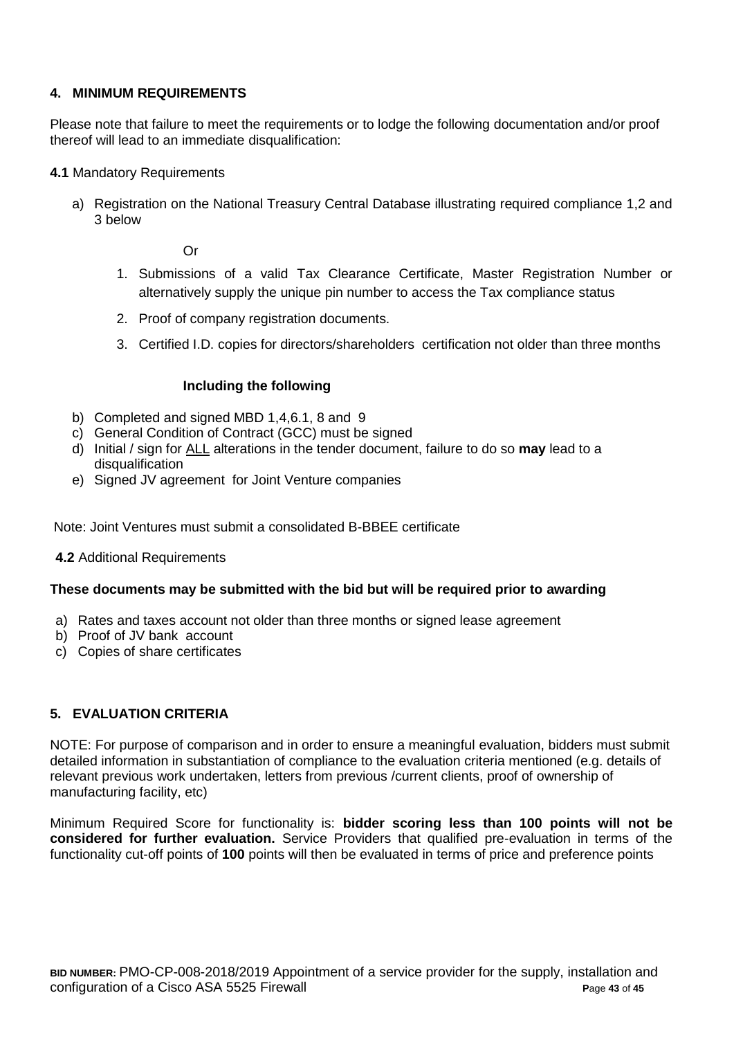### **4. MINIMUM REQUIREMENTS**

Please note that failure to meet the requirements or to lodge the following documentation and/or proof thereof will lead to an immediate disqualification:

- **4.1** Mandatory Requirements
	- a) Registration on the National Treasury Central Database illustrating required compliance 1,2 and 3 below

Or

- 1. Submissions of a valid Tax Clearance Certificate, Master Registration Number or alternatively supply the unique pin number to access the Tax compliance status
- 2. Proof of company registration documents.
- 3. Certified I.D. copies for directors/shareholders certification not older than three months

#### **Including the following**

- b) Completed and signed MBD 1,4,6.1, 8 and 9
- c) General Condition of Contract (GCC) must be signed
- d) Initial / sign for ALL alterations in the tender document, failure to do so **may** lead to a disqualification
- e) Signed JV agreement for Joint Venture companies

Note: Joint Ventures must submit a consolidated B-BBEE certificate

#### **4.2** Additional Requirements

#### **These documents may be submitted with the bid but will be required prior to awarding**

- a) Rates and taxes account not older than three months or signed lease agreement
- b) Proof of JV bank account
- c) Copies of share certificates

#### **5. EVALUATION CRITERIA**

NOTE: For purpose of comparison and in order to ensure a meaningful evaluation, bidders must submit detailed information in substantiation of compliance to the evaluation criteria mentioned (e.g. details of relevant previous work undertaken, letters from previous /current clients, proof of ownership of manufacturing facility, etc)

Minimum Required Score for functionality is: **bidder scoring less than 100 points will not be considered for further evaluation.** Service Providers that qualified pre-evaluation in terms of the functionality cut-off points of **100** points will then be evaluated in terms of price and preference points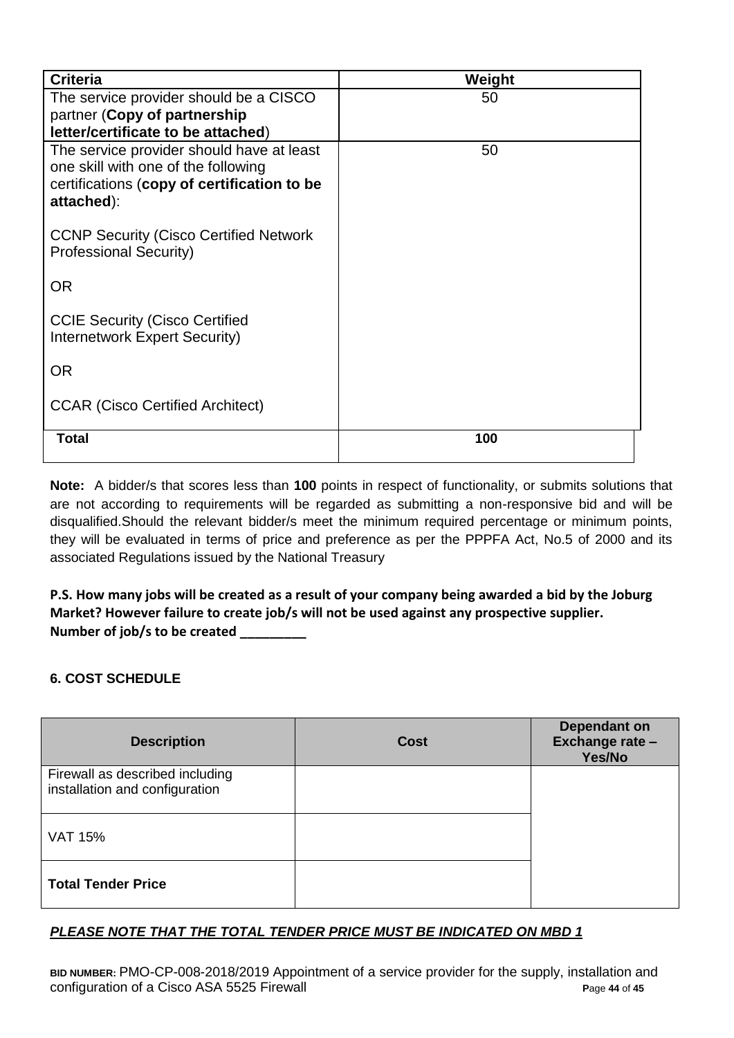| <b>Criteria</b>                                                                  | Weight |
|----------------------------------------------------------------------------------|--------|
| The service provider should be a CISCO<br>partner (Copy of partnership           | 50     |
| letter/certificate to be attached)                                               |        |
| The service provider should have at least<br>one skill with one of the following | 50     |
| certifications (copy of certification to be                                      |        |
| attached):                                                                       |        |
| <b>CCNP Security (Cisco Certified Network</b>                                    |        |
| <b>Professional Security)</b>                                                    |        |
| <b>OR</b>                                                                        |        |
| <b>CCIE Security (Cisco Certified</b>                                            |        |
| Internetwork Expert Security)                                                    |        |
| <b>OR</b>                                                                        |        |
| <b>CCAR (Cisco Certified Architect)</b>                                          |        |
|                                                                                  | 100    |
| <b>Total</b>                                                                     |        |

**Note:** A bidder/s that scores less than **100** points in respect of functionality, or submits solutions that are not according to requirements will be regarded as submitting a non-responsive bid and will be disqualified.Should the relevant bidder/s meet the minimum required percentage or minimum points, they will be evaluated in terms of price and preference as per the PPPFA Act, No.5 of 2000 and its associated Regulations issued by the National Treasury

**P.S. How many jobs will be created as a result of your company being awarded a bid by the Joburg Market? However failure to create job/s will not be used against any prospective supplier. Number of job/s to be created \_\_\_\_\_\_\_\_\_** 

## **6. COST SCHEDULE**

| <b>Description</b>                                                | <b>Cost</b> | Dependant on<br>Exchange rate -<br>Yes/No |
|-------------------------------------------------------------------|-------------|-------------------------------------------|
| Firewall as described including<br>installation and configuration |             |                                           |
| <b>VAT 15%</b>                                                    |             |                                           |
| <b>Total Tender Price</b>                                         |             |                                           |

# *PLEASE NOTE THAT THE TOTAL TENDER PRICE MUST BE INDICATED ON MBD 1*

**BID NUMBER:** PMO-CP-008-2018/2019 Appointment of a service provider for the supply, installation and configuration of a Cisco ASA 5525 Firewall **P**age **44** of **45**